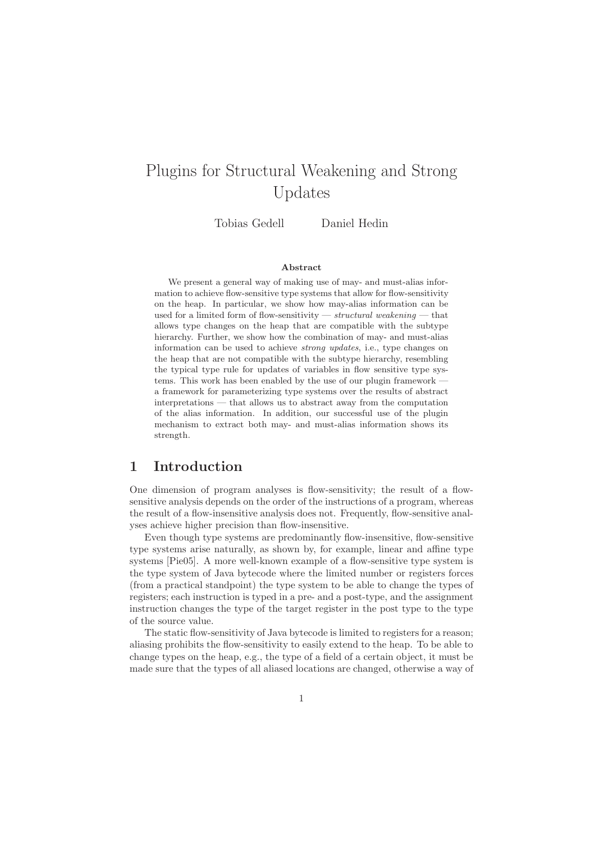# Plugins for Structural Weakening and Strong Updates

Tobias Gedell Daniel Hedin

#### Abstract

We present a general way of making use of may- and must-alias information to achieve flow-sensitive type systems that allow for flow-sensitivity on the heap. In particular, we show how may-alias information can be used for a limited form of flow-sensitivity — structural weakening — that allows type changes on the heap that are compatible with the subtype hierarchy. Further, we show how the combination of may- and must-alias information can be used to achieve strong updates, i.e., type changes on the heap that are not compatible with the subtype hierarchy, resembling the typical type rule for updates of variables in flow sensitive type systems. This work has been enabled by the use of our plugin framework  $\cdot$ a framework for parameterizing type systems over the results of abstract interpretations — that allows us to abstract away from the computation of the alias information. In addition, our successful use of the plugin mechanism to extract both may- and must-alias information shows its strength.

# 1 Introduction

One dimension of program analyses is flow-sensitivity; the result of a flowsensitive analysis depends on the order of the instructions of a program, whereas the result of a flow-insensitive analysis does not. Frequently, flow-sensitive analyses achieve higher precision than flow-insensitive.

Even though type systems are predominantly flow-insensitive, flow-sensitive type systems arise naturally, as shown by, for example, linear and affine type systems [Pie05]. A more well-known example of a flow-sensitive type system is the type system of Java bytecode where the limited number or registers forces (from a practical standpoint) the type system to be able to change the types of registers; each instruction is typed in a pre- and a post-type, and the assignment instruction changes the type of the target register in the post type to the type of the source value.

The static flow-sensitivity of Java bytecode is limited to registers for a reason; aliasing prohibits the flow-sensitivity to easily extend to the heap. To be able to change types on the heap, e.g., the type of a field of a certain object, it must be made sure that the types of all aliased locations are changed, otherwise a way of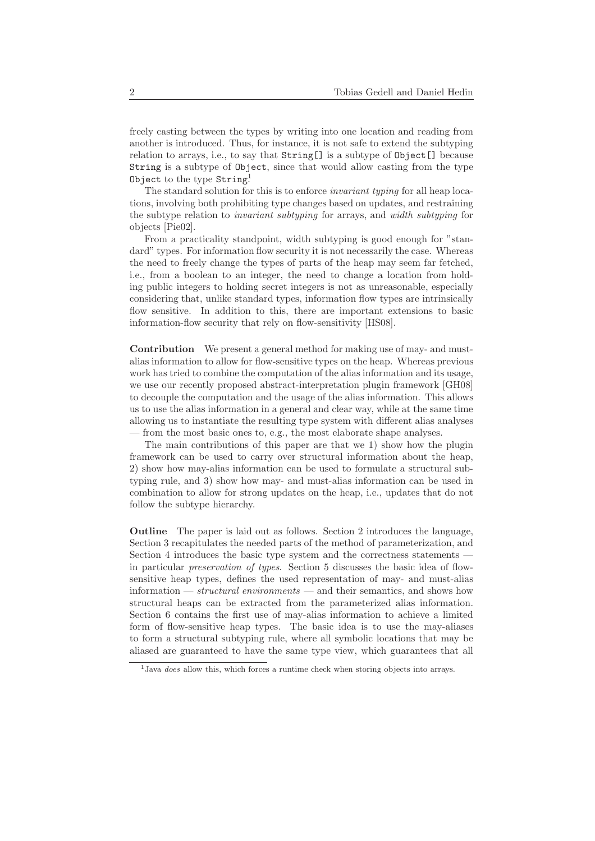freely casting between the types by writing into one location and reading from another is introduced. Thus, for instance, it is not safe to extend the subtyping relation to arrays, i.e., to say that String[] is a subtype of Object[] because String is a subtype of Object, since that would allow casting from the type Object to the type String!

The standard solution for this is to enforce *invariant typing* for all heap locations, involving both prohibiting type changes based on updates, and restraining the subtype relation to invariant subtyping for arrays, and width subtyping for objects [Pie02].

From a practicality standpoint, width subtyping is good enough for "standard" types. For information flow security it is not necessarily the case. Whereas the need to freely change the types of parts of the heap may seem far fetched, i.e., from a boolean to an integer, the need to change a location from holding public integers to holding secret integers is not as unreasonable, especially considering that, unlike standard types, information flow types are intrinsically flow sensitive. In addition to this, there are important extensions to basic information-flow security that rely on flow-sensitivity [HS08].

Contribution We present a general method for making use of may- and mustalias information to allow for flow-sensitive types on the heap. Whereas previous work has tried to combine the computation of the alias information and its usage, we use our recently proposed abstract-interpretation plugin framework [GH08] to decouple the computation and the usage of the alias information. This allows us to use the alias information in a general and clear way, while at the same time allowing us to instantiate the resulting type system with different alias analyses — from the most basic ones to, e.g., the most elaborate shape analyses.

The main contributions of this paper are that we 1) show how the plugin framework can be used to carry over structural information about the heap, 2) show how may-alias information can be used to formulate a structural subtyping rule, and 3) show how may- and must-alias information can be used in combination to allow for strong updates on the heap, i.e., updates that do not follow the subtype hierarchy.

Outline The paper is laid out as follows. Section 2 introduces the language, Section 3 recapitulates the needed parts of the method of parameterization, and Section 4 introduces the basic type system and the correctness statements in particular preservation of types. Section 5 discusses the basic idea of flowsensitive heap types, defines the used representation of may- and must-alias information — *structural environments* — and their semantics, and shows how structural heaps can be extracted from the parameterized alias information. Section 6 contains the first use of may-alias information to achieve a limited form of flow-sensitive heap types. The basic idea is to use the may-aliases to form a structural subtyping rule, where all symbolic locations that may be aliased are guaranteed to have the same type view, which guarantees that all

<sup>&</sup>lt;sup>1</sup>Java does allow this, which forces a runtime check when storing objects into arrays.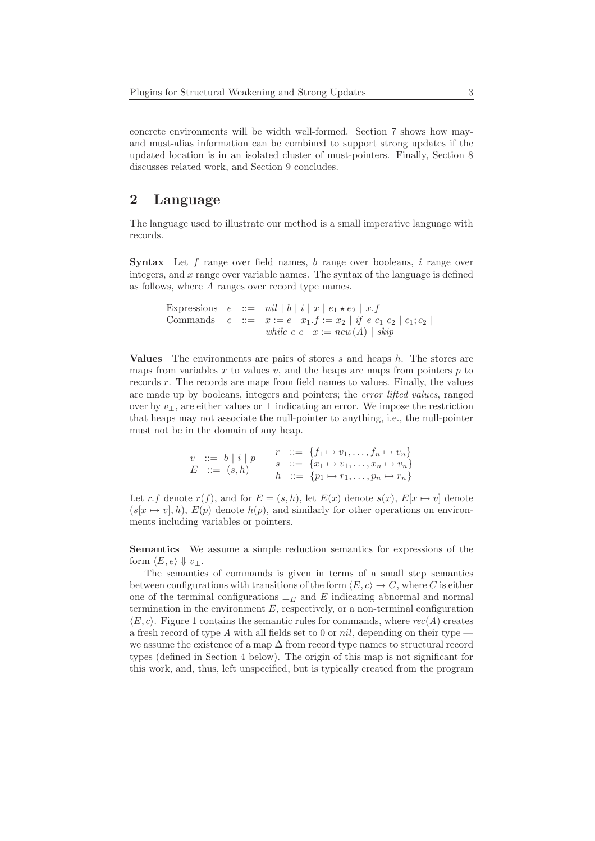concrete environments will be width well-formed. Section 7 shows how mayand must-alias information can be combined to support strong updates if the updated location is in an isolated cluster of must-pointers. Finally, Section 8 discusses related work, and Section 9 concludes.

## 2 Language

The language used to illustrate our method is a small imperative language with records.

**Syntax** Let f range over field names, b range over booleans, i range over integers, and x range over variable names. The syntax of the language is defined as follows, where A ranges over record type names.

```
Expressions e ::= nil | b | i | x | e_1 \star e_2 | x.fCommands c ::= x := e | x_1.f := x_2 | if e c_1 c_2 | c_1;c_2 |while e c x := new(A) | skip
```
**Values** The environments are pairs of stores s and heaps  $h$ . The stores are maps from variables x to values v, and the heaps are maps from pointers  $p$  to records r. The records are maps from field names to values. Finally, the values are made up by booleans, integers and pointers; the error lifted values, ranged over by  $v_{\perp}$ , are either values or  $\perp$  indicating an error. We impose the restriction that heaps may not associate the null-pointer to anything, i.e., the null-pointer must not be in the domain of any heap.

$$
v ::= b | i | p
$$
  
\n
$$
E ::= (s, h)
$$
  
\n
$$
r ::= \{f_1 \mapsto v_1, \dots, f_n \mapsto v_n\}
$$
  
\n
$$
s ::= \{x_1 \mapsto v_1, \dots, x_n \mapsto v_n\}
$$
  
\n
$$
h ::= \{p_1 \mapsto r_1, \dots, p_n \mapsto r_n\}
$$

Let r.f denote  $r(f)$ , and for  $E = (s, h)$ , let  $E(x)$  denote  $s(x)$ ,  $E[x \mapsto v]$  denote  $(s[x \mapsto v], h)$ ,  $E(v)$  denote  $h(v)$ , and similarly for other operations on environments including variables or pointers.

Semantics We assume a simple reduction semantics for expressions of the form  $\langle E, e \rangle \Downarrow v_{\perp}$ .

The semantics of commands is given in terms of a small step semantics between configurations with transitions of the form  $\langle E, c \rangle \to C$ , where C is either one of the terminal configurations  $\perp_E$  and E indicating abnormal and normal termination in the environment  $E$ , respectively, or a non-terminal configuration  $\langle E, c \rangle$ . Figure 1 contains the semantic rules for commands, where  $rec(A)$  creates a fresh record of type A with all fields set to 0 or nil, depending on their type  $$ we assume the existence of a map ∆ from record type names to structural record types (defined in Section 4 below). The origin of this map is not significant for this work, and, thus, left unspecified, but is typically created from the program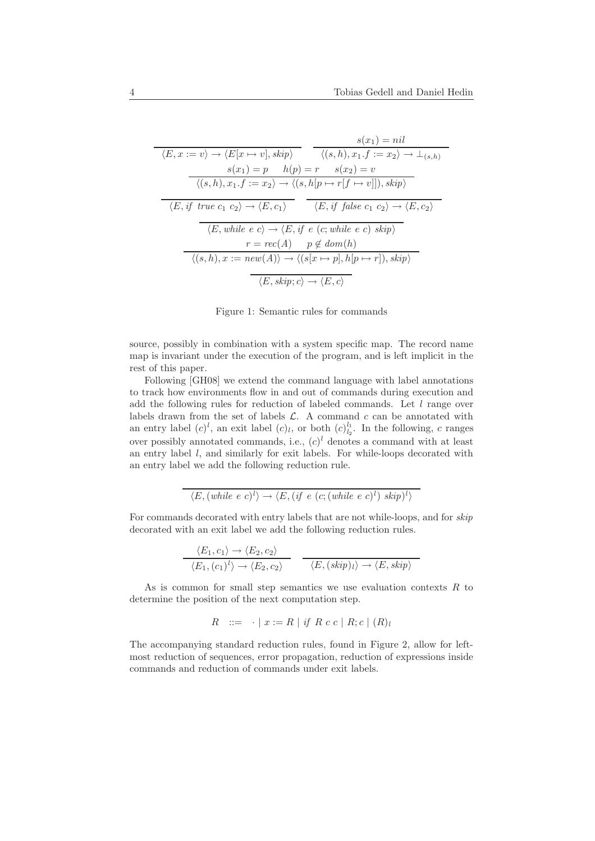$$
\langle E, x := v \rangle \to \langle E[x \mapsto v], skip \rangle
$$
\n
$$
s(x_1) = nil
$$
\n
$$
s(x_1) = p \quad h(p) = r \quad s(x_2) = v
$$
\n
$$
\langle (s, h), x_1.f := x_2 \rangle \to \langle (s, h[p \mapsto r[f \mapsto v]]), skip \rangle
$$
\n
$$
\langle E, if \text{ true } c_1 c_2 \rangle \to \langle E, c_1 \rangle
$$
\n
$$
\langle E, if \text{ true } c_2 \rangle \to \langle E, c_1 \rangle
$$
\n
$$
\langle E, if \text{ false } c_1 c_2 \rangle \to \langle E, c_2 \rangle
$$
\n
$$
\langle E, while \text{ e } c \rangle \to \langle E, if \text{ e } (c; \text{while } e \text{ c}) \text{ skip} \rangle
$$
\n
$$
r = rec(A) \quad p \notin dom(h)
$$
\n
$$
\langle (s, h), x := new(A) \rangle \to \langle (s[x \mapsto p], h[p \mapsto r]), skip \rangle
$$
\n
$$
\langle E, skip; c \rangle \to \langle E, c \rangle
$$

Figure 1: Semantic rules for commands

source, possibly in combination with a system specific map. The record name map is invariant under the execution of the program, and is left implicit in the rest of this paper.

Following [GH08] we extend the command language with label annotations to track how environments flow in and out of commands during execution and add the following rules for reduction of labeled commands. Let  $l$  range over labels drawn from the set of labels  $\mathcal{L}$ . A command  $c$  can be annotated with an entry label  $(c)^l$ , an exit label  $(c)_l$ , or both  $(c)_{l_2}^{l_1}$ . In the following, c ranges over possibly annotated commands, i.e.,  $(c)^l$  denotes a command with at least an entry label  $l$ , and similarly for exit labels. For while-loops decorated with an entry label we add the following reduction rule.

$$
\langle E, (while e c)^l \rangle \rightarrow \langle E, (if e (c; (while e c)^l) skip)^l \rangle
$$

For commands decorated with entry labels that are not while-loops, and for skip decorated with an exit label we add the following reduction rules.

$$
\frac{\langle E_1, c_1 \rangle \to \langle E_2, c_2 \rangle}{\langle E_1, (c_1)^l \rangle \to \langle E_2, c_2 \rangle} \quad \frac{\langle E, (skip)_l \rangle \to \langle E, skip \rangle}{\langle E, (skip)_l \rangle \to \langle E, skip \rangle}
$$

As is common for small step semantics we use evaluation contexts  $R$  to determine the position of the next computation step.

$$
R \quad ::= \quad \cdot \mid x := R \mid \text{if } R \ c \ c \mid R; c \mid (R)_{l}
$$

The accompanying standard reduction rules, found in Figure 2, allow for leftmost reduction of sequences, error propagation, reduction of expressions inside commands and reduction of commands under exit labels.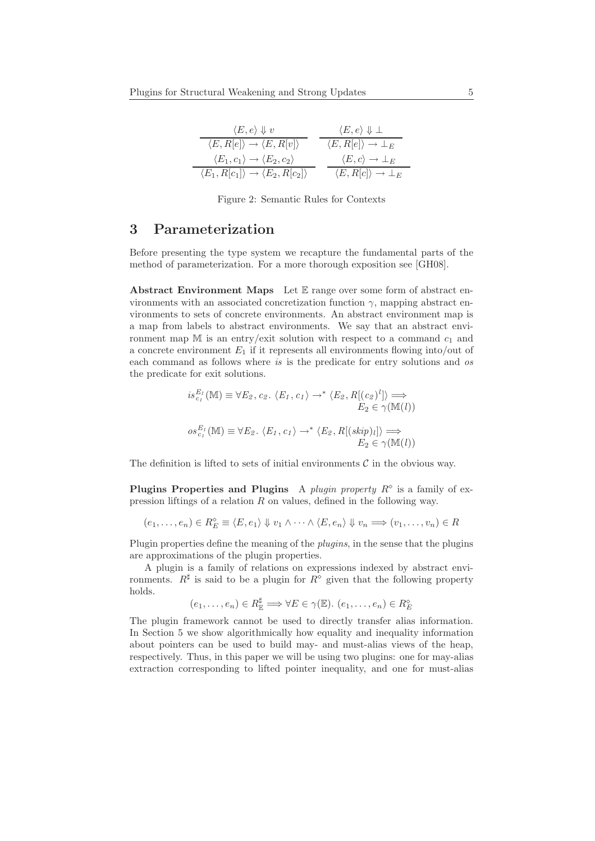| $\langle E, e \rangle \Downarrow v$                                   | $\langle E, e \rangle \Downarrow \bot$        |
|-----------------------------------------------------------------------|-----------------------------------------------|
| $\langle E, R[e] \rangle \rightarrow \langle E, R[v] \rangle$         | $\langle E, R[e] \rangle \rightarrow \perp_E$ |
| $\langle E_1,c_1\rangle\to \langle E_2,c_2\rangle$                    | $\langle E, c \rangle \rightarrow \perp_E$    |
| $\langle E_1, R[c_1] \rangle \rightarrow \langle E_2, R[c_2] \rangle$ | $\langle E, R[c] \rangle \rightarrow \perp_E$ |

Figure 2: Semantic Rules for Contexts

# 3 Parameterization

Before presenting the type system we recapture the fundamental parts of the method of parameterization. For a more thorough exposition see [GH08].

Abstract Environment Maps Let  $E$  range over some form of abstract environments with an associated concretization function  $\gamma$ , mapping abstract environments to sets of concrete environments. An abstract environment map is a map from labels to abstract environments. We say that an abstract environment map  $M$  is an entry/exit solution with respect to a command  $c_1$  and a concrete environment  $E_1$  if it represents all environments flowing into/out of each command as follows where is is the predicate for entry solutions and os the predicate for exit solutions.

$$
is_{c_1}^{E_1}(\mathbb{M}) \equiv \forall E_2, c_2. \langle E_1, c_1 \rangle \rightarrow^* \langle E_2, R[(c_2)^l] \rangle \Longrightarrow \nE_2 \in \gamma(\mathbb{M}(l)) \nos_{c_1}^{E_1}(\mathbb{M}) \equiv \forall E_2. \langle E_1, c_1 \rangle \rightarrow^* \langle E_2, R[(skip] \rangle_l] \rangle \Longrightarrow \nE_2 \in \gamma(\mathbb{M}(l)) \nE_2 \in \gamma(\mathbb{M}(l))
$$

The definition is lifted to sets of initial environments  $\mathcal C$  in the obvious way.

Plugins Properties and Plugins A plugin property  $R^{\diamond}$  is a family of expression liftings of a relation R on values, defined in the following way.

$$
(e_1, \ldots, e_n) \in R_E^{\diamond} \equiv \langle E, e_1 \rangle \Downarrow v_1 \land \cdots \land \langle E, e_n \rangle \Downarrow v_n \Longrightarrow (v_1, \ldots, v_n) \in R
$$

Plugin properties define the meaning of the *plugins*, in the sense that the plugins are approximations of the plugin properties.

A plugin is a family of relations on expressions indexed by abstract environments.  $R^{\sharp}$  is said to be a plugin for  $R^{\diamond}$  given that the following property holds.

$$
(e_1,\ldots,e_n)\in R_{\mathbb{E}}^{\sharp}\Longrightarrow \forall E\in \gamma(\mathbb{E}).\ (e_1,\ldots,e_n)\in R_{E}^{\diamond}
$$

The plugin framework cannot be used to directly transfer alias information. In Section 5 we show algorithmically how equality and inequality information about pointers can be used to build may- and must-alias views of the heap, respectively. Thus, in this paper we will be using two plugins: one for may-alias extraction corresponding to lifted pointer inequality, and one for must-alias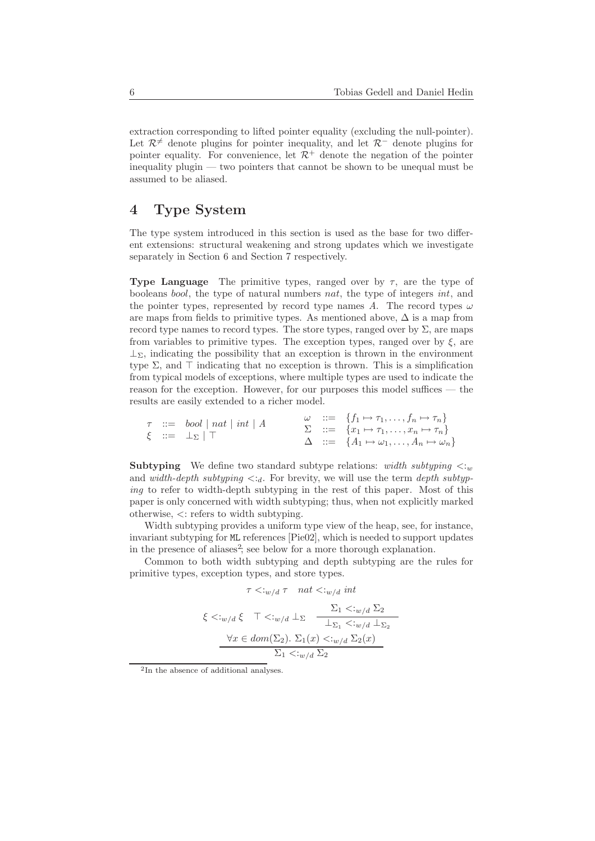extraction corresponding to lifted pointer equality (excluding the null-pointer). Let  $\mathcal{R}^{\neq}$  denote plugins for pointer inequality, and let  $\mathcal{R}^-$  denote plugins for pointer equality. For convenience, let  $\mathcal{R}^+$  denote the negation of the pointer inequality plugin — two pointers that cannot be shown to be unequal must be assumed to be aliased.

# 4 Type System

The type system introduced in this section is used as the base for two different extensions: structural weakening and strong updates which we investigate separately in Section 6 and Section 7 respectively.

**Type Language** The primitive types, ranged over by  $\tau$ , are the type of booleans bool, the type of natural numbers nat, the type of integers int, and the pointer types, represented by record type names A. The record types  $\omega$ are maps from fields to primitive types. As mentioned above,  $\Delta$  is a map from record type names to record types. The store types, ranged over by  $\Sigma$ , are maps from variables to primitive types. The exception types, ranged over by  $\xi$ , are  $\perp_{\Sigma}$ , indicating the possibility that an exception is thrown in the environment type  $\Sigma$ , and  $\top$  indicating that no exception is thrown. This is a simplification from typical models of exceptions, where multiple types are used to indicate the reason for the exception. However, for our purposes this model suffices — the results are easily extended to a richer model.

$$
\begin{array}{rcl}\n\tau & ::= & bool \mid nat \mid int \mid A \\
\xi & ::= & \perp_{\Sigma} \mid \top\n\end{array}\n\qquad\n\begin{array}{rcl}\n\omega & ::= & \{f_1 \mapsto \tau_1, \dots, f_n \mapsto \tau_n\} \\
\sum & ::= & \{x_1 \mapsto \tau_1, \dots, x_n \mapsto \tau_n\} \\
\Delta & ::= & \{A_1 \mapsto \omega_1, \dots, A_n \mapsto \omega_n\}\n\end{array}
$$

**Subtyping** We define two standard subtype relations: width subtyping  $\lt: w$ and width-depth subtyping  $\langle \cdot \rangle_d$ . For brevity, we will use the term depth subtyping to refer to width-depth subtyping in the rest of this paper. Most of this paper is only concerned with width subtyping; thus, when not explicitly marked otherwise, <: refers to width subtyping.

Width subtyping provides a uniform type view of the heap, see, for instance, invariant subtyping for ML references [Pie02], which is needed to support updates in the presence of aliases<sup>2</sup>; see below for a more thorough explanation.

Common to both width subtyping and depth subtyping are the rules for primitive types, exception types, and store types.

$$
\tau < w/d \tau \quad nat < w/d \; int
$$
\n
$$
\xi < w/d \xi \quad \top < w/d \perp_{\Sigma} \quad \frac{\Sigma_1 < w/d \Sigma_2}{\bot_{\Sigma_1} < w/d \bot_{\Sigma_2}}
$$
\n
$$
\frac{\forall x \in dom(\Sigma_2). \ \Sigma_1(x) < w/d \Sigma_2(x)}{\Sigma_1 < w/d \Sigma_2}
$$

<sup>2</sup> In the absence of additional analyses.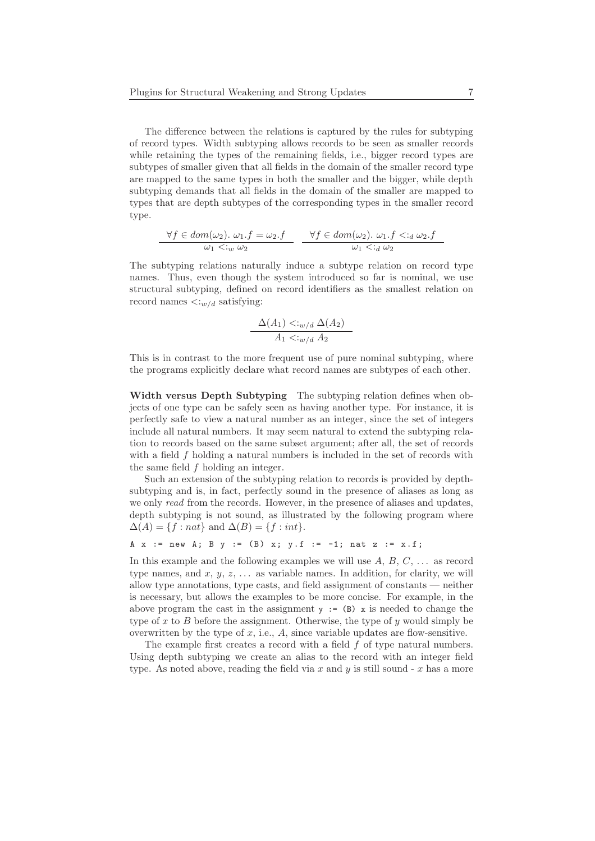The difference between the relations is captured by the rules for subtyping of record types. Width subtyping allows records to be seen as smaller records while retaining the types of the remaining fields, i.e., bigger record types are subtypes of smaller given that all fields in the domain of the smaller record type are mapped to the same types in both the smaller and the bigger, while depth subtyping demands that all fields in the domain of the smaller are mapped to types that are depth subtypes of the corresponding types in the smaller record type.

$$
\forall f \in dom(\omega_2). \ \omega_1.f = \omega_2.f
$$
  

$$
\omega_1 \leq w \omega_2
$$
  

$$
\forall f \in dom(\omega_2). \ \omega_1.f \leq d \omega_2.f
$$
  

$$
\omega_1 \leq d \omega_2
$$

The subtyping relations naturally induce a subtype relation on record type names. Thus, even though the system introduced so far is nominal, we use structural subtyping, defined on record identifiers as the smallest relation on record names  $\langle :_{w/d}$  satisfying:

$$
\frac{\Delta(A_1) \lt k_{w/d} \Delta(A_2)}{A_1 \lt k_{w/d} A_2}
$$

This is in contrast to the more frequent use of pure nominal subtyping, where the programs explicitly declare what record names are subtypes of each other.

Width versus Depth Subtyping The subtyping relation defines when objects of one type can be safely seen as having another type. For instance, it is perfectly safe to view a natural number as an integer, since the set of integers include all natural numbers. It may seem natural to extend the subtyping relation to records based on the same subset argument; after all, the set of records with a field f holding a natural numbers is included in the set of records with the same field f holding an integer.

Such an extension of the subtyping relation to records is provided by depthsubtyping and is, in fact, perfectly sound in the presence of aliases as long as we only read from the records. However, in the presence of aliases and updates, depth subtyping is not sound, as illustrated by the following program where  $\Delta(A) = \{f : nat\}$  and  $\Delta(B) = \{f : int\}.$ 

```
A x := new A; B y := (B) x; y.f := -1; nat z := x.f;
```
In this example and the following examples we will use  $A, B, C, \ldots$  as record type names, and  $x, y, z, \ldots$  as variable names. In addition, for clarity, we will allow type annotations, type casts, and field assignment of constants — neither is necessary, but allows the examples to be more concise. For example, in the above program the cast in the assignment  $y := (B)$  x is needed to change the type of x to B before the assignment. Otherwise, the type of  $\gamma$  would simply be overwritten by the type of  $x$ , i.e.,  $A$ , since variable updates are flow-sensitive.

The example first creates a record with a field f of type natural numbers. Using depth subtyping we create an alias to the record with an integer field type. As noted above, reading the field via x and y is still sound - x has a more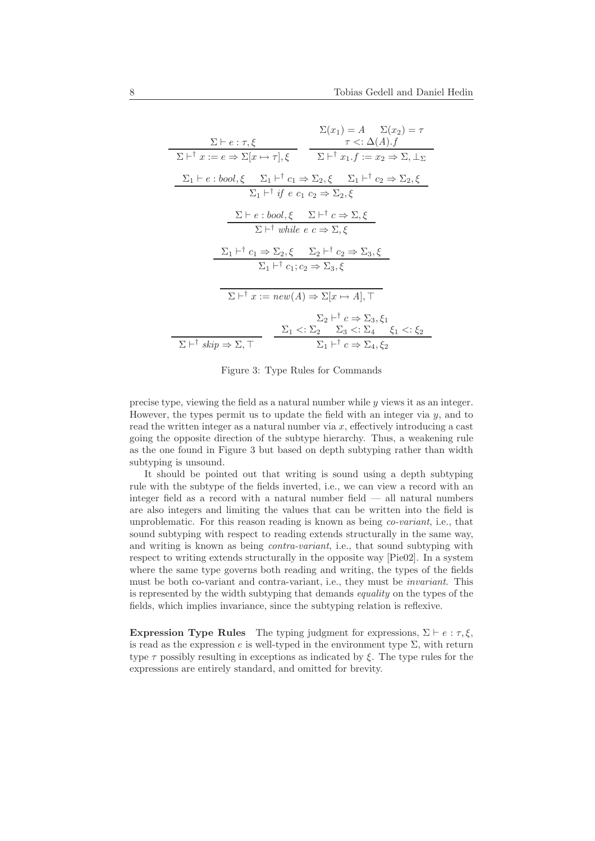$$
\Sigma(x_1) = A \quad \Sigma(x_2) = \tau
$$
\n
$$
\Sigma + i x := e \Rightarrow \Sigma[x \mapsto \tau], \xi
$$
\n
$$
\Sigma + i x := e \Rightarrow \Sigma[x \mapsto \tau], \xi
$$
\n
$$
\Sigma + i x_1 f := x_2 \Rightarrow \Sigma, \bot_{\Sigma}
$$
\n
$$
\Sigma_1 + e : bool, \xi \quad \Sigma_1 + i x_1 \Rightarrow \Sigma_2, \xi \quad \Sigma_1 + i x_2 \Rightarrow \Sigma_2, \xi
$$
\n
$$
\Sigma_1 + i f e c_1 c_2 \Rightarrow \Sigma_2, \xi
$$
\n
$$
\Sigma + e : bool, \xi \quad \Sigma + i c \Rightarrow \Sigma, \xi
$$
\n
$$
\Sigma + i while e c \Rightarrow \Sigma, \xi
$$
\n
$$
\Sigma_1 + i c_1 \Rightarrow \Sigma_2, \xi \quad \Sigma_2 + i c_2 \Rightarrow \Sigma_3, \xi
$$
\n
$$
\Sigma_1 + i c_1; c_2 \Rightarrow \Sigma_3, \xi
$$
\n
$$
\Sigma + i x := new(A) \Rightarrow \Sigma[x \mapsto A], \top
$$
\n
$$
\Sigma_2 + i c \Rightarrow \Sigma_3, \xi_1
$$
\n
$$
\Sigma + i skip \Rightarrow \Sigma, \top
$$
\n
$$
\Sigma_1 \leq i \leq \Sigma_2 \quad \Sigma_3 < i \geq \Sigma_4, \xi_2
$$

Figure 3: Type Rules for Commands

precise type, viewing the field as a natural number while y views it as an integer. However, the types permit us to update the field with an integer via  $y$ , and to read the written integer as a natural number via  $x$ , effectively introducing a cast going the opposite direction of the subtype hierarchy. Thus, a weakening rule as the one found in Figure 3 but based on depth subtyping rather than width subtyping is unsound.

It should be pointed out that writing is sound using a depth subtyping rule with the subtype of the fields inverted, i.e., we can view a record with an integer field as a record with a natural number field — all natural numbers are also integers and limiting the values that can be written into the field is unproblematic. For this reason reading is known as being co-variant, i.e., that sound subtyping with respect to reading extends structurally in the same way, and writing is known as being contra-variant, i.e., that sound subtyping with respect to writing extends structurally in the opposite way [Pie02]. In a system where the same type governs both reading and writing, the types of the fields must be both co-variant and contra-variant, i.e., they must be invariant. This is represented by the width subtyping that demands equality on the types of the fields, which implies invariance, since the subtyping relation is reflexive.

Expression Type Rules The typing judgment for expressions,  $\Sigma \vdash e : \tau, \xi$ , is read as the expression e is well-typed in the environment type  $\Sigma$ , with return type  $\tau$  possibly resulting in exceptions as indicated by  $\xi$ . The type rules for the expressions are entirely standard, and omitted for brevity.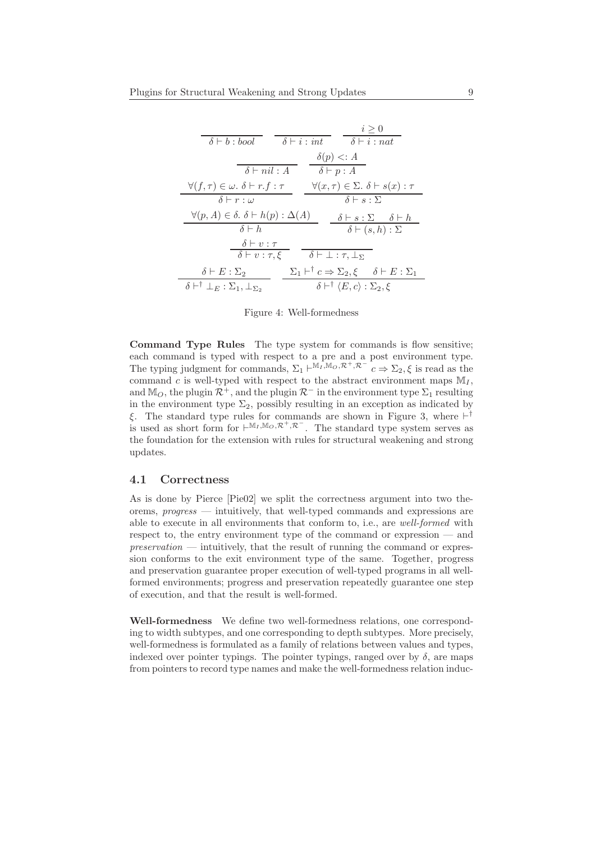| $i \geq 0$                                                                                                                      |
|---------------------------------------------------------------------------------------------------------------------------------|
| $\delta \vdash b : bool \qquad \delta \vdash i : int \qquad \delta \vdash i : nat$                                              |
| $\delta(p) \leq A$                                                                                                              |
| $\delta \vdash nil : A$<br>$\delta \vdash p : A$                                                                                |
| $\forall (x, \tau) \in \Sigma$ . $\delta \vdash s(x) : \tau$<br>$\forall (f, \tau) \in \omega$ . $\delta \vdash r.f : \tau$     |
| $\delta \vdash r : \omega$<br>$\delta \vdash s : \Sigma$                                                                        |
| $\forall (p, A) \in \delta$ . $\delta \vdash h(p) : \Delta(A)$<br>$\delta \vdash s : \Sigma \quad \delta \vdash h$              |
| $\delta \vdash h$<br>$\delta \vdash (s,h) : \Sigma$                                                                             |
| $\delta\vdash v:\tau$                                                                                                           |
| $\delta \vdash v : \tau, \xi$ $\delta \vdash \bot : \tau, \bot_{\Sigma}$                                                        |
| $\Sigma_1 \vdash^{\dagger} c \Rightarrow \Sigma_2, \xi \quad \delta \vdash E : \Sigma_1$<br>$\delta \vdash E : \Sigma_2$        |
| $\delta \vdash^{\dagger} \bot_{E} : \Sigma_1, \bot_{\Sigma_2}$<br>$\delta \vdash^{\dagger} \langle E,c \rangle : \Sigma_2, \xi$ |

Figure 4: Well-formedness

Command Type Rules The type system for commands is flow sensitive; each command is typed with respect to a pre and a post environment type. The typing judgment for commands,  $\Sigma_1 \vdash^{\mathbb{M}_I, \mathbb{M}_O, \mathcal{R}^+, \mathcal{R}^-} c \Rightarrow \Sigma_2, \xi$  is read as the command c is well-typed with respect to the abstract environment maps  $M_I$ , and M<sub>O</sub>, the plugin  $\mathcal{R}^+$ , and the plugin  $\mathcal{R}^-$  in the environment type  $\Sigma_1$  resulting in the environment type  $\Sigma_2$ , possibly resulting in an exception as indicated by ξ. The standard type rules for commands are shown in Figure 3, where  $\vdash^{\dagger}$ is used as short form for  $\vdash^{M_I,M_O,\mathcal{R}^+,\mathcal{R}^-}$ . The standard type system serves as the foundation for the extension with rules for structural weakening and strong updates.

### 4.1 Correctness

As is done by Pierce [Pie02] we split the correctness argument into two theorems, progress — intuitively, that well-typed commands and expressions are able to execute in all environments that conform to, i.e., are well-formed with respect to, the entry environment type of the command or expression — and  $preservation$  — intuitively, that the result of running the command or expression conforms to the exit environment type of the same. Together, progress and preservation guarantee proper execution of well-typed programs in all wellformed environments; progress and preservation repeatedly guarantee one step of execution, and that the result is well-formed.

Well-formedness We define two well-formedness relations, one corresponding to width subtypes, and one corresponding to depth subtypes. More precisely, well-formedness is formulated as a family of relations between values and types, indexed over pointer typings. The pointer typings, ranged over by  $\delta$ , are maps from pointers to record type names and make the well-formedness relation induc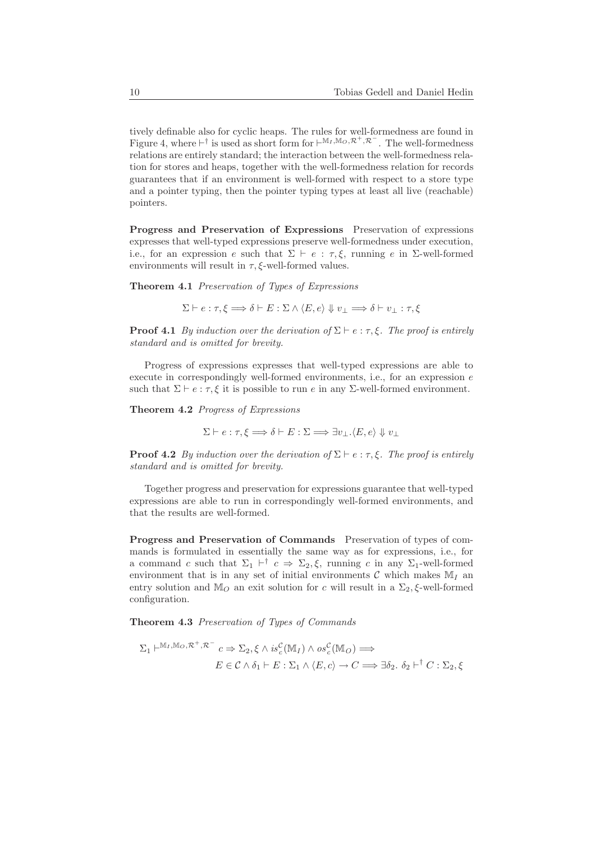tively definable also for cyclic heaps. The rules for well-formedness are found in Figure 4, where  $\vdash^{\dagger}$  is used as short form for  $\vdash^{\mathbb{M}_{I}, \mathbb{M}_{O}, \mathcal{R}^{+}, \mathcal{R}^{-}}$ . The well-formedness relations are entirely standard; the interaction between the well-formedness relation for stores and heaps, together with the well-formedness relation for records guarantees that if an environment is well-formed with respect to a store type and a pointer typing, then the pointer typing types at least all live (reachable) pointers.

Progress and Preservation of Expressions Preservation of expressions expresses that well-typed expressions preserve well-formedness under execution, i.e., for an expression e such that  $\Sigma \vdash e : \tau, \xi$ , running e in  $\Sigma$ -well-formed environments will result in  $\tau$ ,  $\xi$ -well-formed values.

Theorem 4.1 Preservation of Types of Expressions

 $\Sigma \vdash e : \tau, \xi \Longrightarrow \delta \vdash E : \Sigma \wedge \langle E, e \rangle \Downarrow v_{\bot} \Longrightarrow \delta \vdash v_{\bot} : \tau, \xi$ 

**Proof 4.1** By induction over the derivation of  $\Sigma \vdash e : \tau, \xi$ . The proof is entirely standard and is omitted for brevity.

Progress of expressions expresses that well-typed expressions are able to execute in correspondingly well-formed environments, i.e., for an expression  $e$ such that  $\Sigma \vdash e : \tau, \xi$  it is possible to run e in any  $\Sigma$ -well-formed environment.

Theorem 4.2 Progress of Expressions

$$
\Sigma \vdash e : \tau, \xi \Longrightarrow \delta \vdash E : \Sigma \Longrightarrow \exists v_\bot . \langle E, e \rangle \Downarrow v_\bot
$$

**Proof 4.2** By induction over the derivation of  $\Sigma \vdash e : \tau, \xi$ . The proof is entirely standard and is omitted for brevity.

Together progress and preservation for expressions guarantee that well-typed expressions are able to run in correspondingly well-formed environments, and that the results are well-formed.

Progress and Preservation of Commands Preservation of types of commands is formulated in essentially the same way as for expressions, i.e., for a command c such that  $\Sigma_1$   $\vdash^{\dagger}$  c  $\Rightarrow$   $\Sigma_2$ ,  $\xi$ , running c in any  $\Sigma_1$ -well-formed environment that is in any set of initial environments  $\mathcal C$  which makes  $\mathbb M_I$  an entry solution and M<sub>O</sub> an exit solution for c will result in a  $\Sigma_2$ ,  $\xi$ -well-formed configuration.

Theorem 4.3 Preservation of Types of Commands

$$
\Sigma_1 \vdash^{\mathbb{M}_I, \mathbb{M}_O, \mathcal{R}^+, \mathcal{R}^-} c \Rightarrow \Sigma_2, \xi \wedge is^{\mathcal{C}}_c(\mathbb{M}_I) \wedge os^{\mathcal{C}}_c(\mathbb{M}_O) \Longrightarrow
$$
  

$$
E \in \mathcal{C} \wedge \delta_1 \vdash E : \Sigma_1 \wedge \langle E, c \rangle \to C \Longrightarrow \exists \delta_2. \ \delta_2 \vdash^{\dagger} C : \Sigma_2, \xi
$$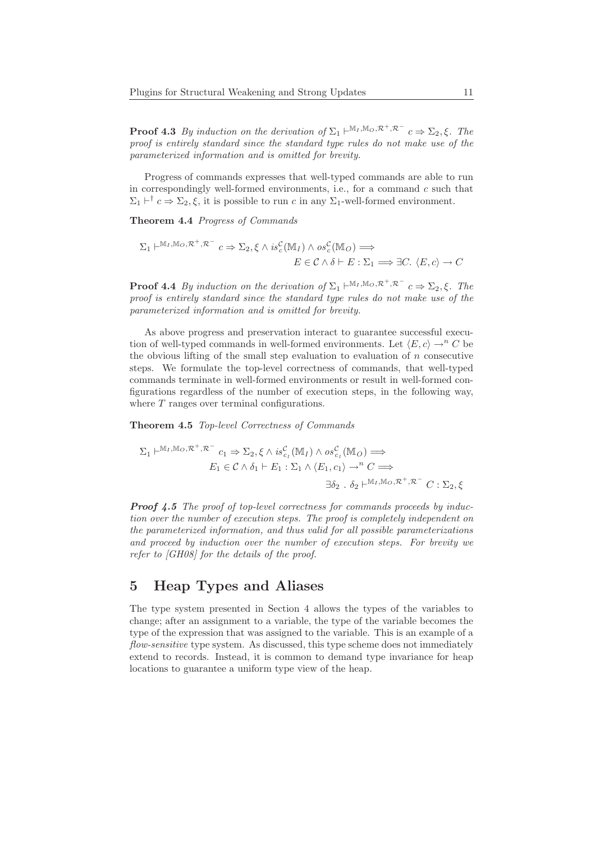**Proof 4.3** By induction on the derivation of  $\Sigma_1 \vdash^{M_I, M_O, \mathcal{R}^+, \mathcal{R}^-} c \Rightarrow \Sigma_2, \xi$ . The proof is entirely standard since the standard type rules do not make use of the parameterized information and is omitted for brevity.

Progress of commands expresses that well-typed commands are able to run in correspondingly well-formed environments, i.e., for a command  $c$  such that  $\Sigma_1 \vdash^{\dagger} c \Rightarrow \Sigma_2, \xi$ , it is possible to run c in any  $\Sigma_1$ -well-formed environment.

Theorem 4.4 Progress of Commands

$$
\Sigma_1 \vdash^{\mathbb{M}_I, \mathbb{M}_O, \mathcal{R}^+, \mathcal{R}^-} c \Rightarrow \Sigma_2, \xi \wedge is^{\mathcal{C}}_c(\mathbb{M}_I) \wedge os^{\mathcal{C}}_c(\mathbb{M}_O) \Longrightarrow
$$
  

$$
E \in \mathcal{C} \wedge \delta \vdash E : \Sigma_1 \Longrightarrow \exists C. \ \langle E, c \rangle \to C
$$

**Proof 4.4** By induction on the derivation of  $\Sigma_1 \vdash^{M_I, M_O, \mathcal{R}^+, \mathcal{R}^-} c \Rightarrow \Sigma_2, \xi$ . The proof is entirely standard since the standard type rules do not make use of the parameterized information and is omitted for brevity.

As above progress and preservation interact to guarantee successful execution of well-typed commands in well-formed environments. Let  $\langle E, c \rangle \rightarrow^n C$  be the obvious lifting of the small step evaluation to evaluation of  $n$  consecutive steps. We formulate the top-level correctness of commands, that well-typed commands terminate in well-formed environments or result in well-formed configurations regardless of the number of execution steps, in the following way, where  $T$  ranges over terminal configurations.

Theorem 4.5 Top-level Correctness of Commands

$$
\Sigma_1 \vdash^{\mathbb{M}_I, \mathbb{M}_O, \mathcal{R}^+, \mathcal{R}^-} c_1 \Rightarrow \Sigma_2, \xi \wedge is_{c_I}^{\mathcal{C}}(\mathbb{M}_I) \wedge os_{c_I}^{\mathcal{C}}(\mathbb{M}_O) \Longrightarrow
$$
  
\n
$$
E_1 \in \mathcal{C} \wedge \delta_1 \vdash E_1 : \Sigma_1 \wedge \langle E_1, c_1 \rangle \rightarrow^n C \Longrightarrow
$$
  
\n
$$
\exists \delta_2 \dots \delta_2 \vdash^{\mathbb{M}_I, \mathbb{M}_O, \mathcal{R}^+, \mathcal{R}^-} C : \Sigma_2, \xi
$$

**Proof 4.5** The proof of top-level correctness for commands proceeds by induction over the number of execution steps. The proof is completely independent on the parameterized information, and thus valid for all possible parameterizations and proceed by induction over the number of execution steps. For brevity we refer to [GH08] for the details of the proof.

# 5 Heap Types and Aliases

The type system presented in Section 4 allows the types of the variables to change; after an assignment to a variable, the type of the variable becomes the type of the expression that was assigned to the variable. This is an example of a flow-sensitive type system. As discussed, this type scheme does not immediately extend to records. Instead, it is common to demand type invariance for heap locations to guarantee a uniform type view of the heap.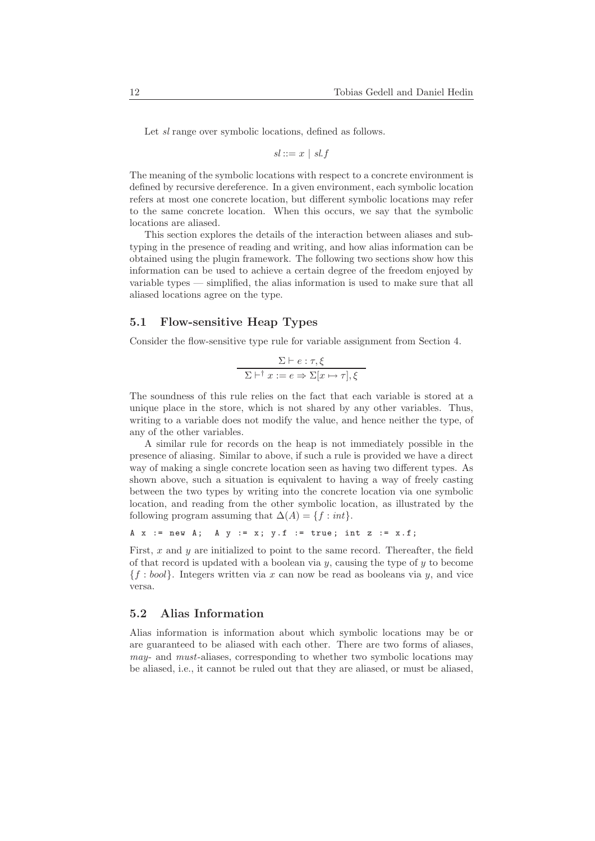Let sl range over symbolic locations, defined as follows.

$$
sl ::= x \mid sl.f
$$

The meaning of the symbolic locations with respect to a concrete environment is defined by recursive dereference. In a given environment, each symbolic location refers at most one concrete location, but different symbolic locations may refer to the same concrete location. When this occurs, we say that the symbolic locations are aliased.

This section explores the details of the interaction between aliases and subtyping in the presence of reading and writing, and how alias information can be obtained using the plugin framework. The following two sections show how this information can be used to achieve a certain degree of the freedom enjoyed by variable types — simplified, the alias information is used to make sure that all aliased locations agree on the type.

### 5.1 Flow-sensitive Heap Types

Consider the flow-sensitive type rule for variable assignment from Section 4.

$$
\frac{\Sigma \vdash e : \tau, \xi}{\Sigma \vdash^{\dagger} x := e \Rightarrow \Sigma[x \mapsto \tau], \xi}
$$

The soundness of this rule relies on the fact that each variable is stored at a unique place in the store, which is not shared by any other variables. Thus, writing to a variable does not modify the value, and hence neither the type, of any of the other variables.

A similar rule for records on the heap is not immediately possible in the presence of aliasing. Similar to above, if such a rule is provided we have a direct way of making a single concrete location seen as having two different types. As shown above, such a situation is equivalent to having a way of freely casting between the two types by writing into the concrete location via one symbolic location, and reading from the other symbolic location, as illustrated by the following program assuming that  $\Delta(A) = \{f : int\}.$ 

```
A x := new A; A y := x; y.f := true; int z := x.f;
```
First,  $x$  and  $y$  are initialized to point to the same record. Thereafter, the field of that record is updated with a boolean via  $y$ , causing the type of  $y$  to become  ${f : bool}$ . Integers written via x can now be read as booleans via y, and vice versa.

#### 5.2 Alias Information

Alias information is information about which symbolic locations may be or are guaranteed to be aliased with each other. There are two forms of aliases, may- and must-aliases, corresponding to whether two symbolic locations may be aliased, i.e., it cannot be ruled out that they are aliased, or must be aliased,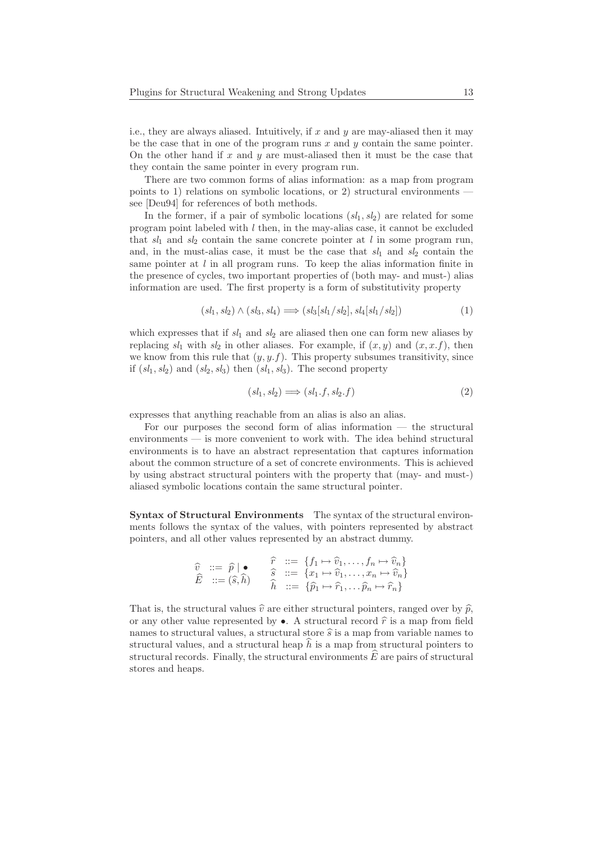i.e., they are always aliased. Intuitively, if  $x$  and  $y$  are may-aliased then it may be the case that in one of the program runs  $x$  and  $y$  contain the same pointer. On the other hand if x and y are must-aliased then it must be the case that they contain the same pointer in every program run.

There are two common forms of alias information: as a map from program points to 1) relations on symbolic locations, or 2) structural environments see [Deu94] for references of both methods.

In the former, if a pair of symbolic locations  $(s_1, s_2)$  are related for some program point labeled with  $l$  then, in the may-alias case, it cannot be excluded that  $sl_1$  and  $sl_2$  contain the same concrete pointer at l in some program run, and, in the must-alias case, it must be the case that  $sl_1$  and  $sl_2$  contain the same pointer at  $l$  in all program runs. To keep the alias information finite in the presence of cycles, two important properties of (both may- and must-) alias information are used. The first property is a form of substitutivity property

$$
(sl_1, sl_2) \land (sl_3, sl_4) \Longrightarrow (sl_3[sl_1/sl_2], sl_4[sl_1/sl_2])
$$
\n
$$
(1)
$$

which expresses that if  $sl_1$  and  $sl_2$  are aliased then one can form new aliases by replacing  $sl_1$  with  $sl_2$  in other aliases. For example, if  $(x, y)$  and  $(x, x.f)$ , then we know from this rule that  $(y, y, f)$ . This property subsumes transitivity, since if  $(sl_1, sl_2)$  and  $(sl_2, sl_3)$  then  $(sl_1, sl_3)$ . The second property

$$
(sl_1, sl_2) \Longrightarrow (sl_1.f, sl_2.f) \tag{2}
$$

expresses that anything reachable from an alias is also an alias.

For our purposes the second form of alias information — the structural environments — is more convenient to work with. The idea behind structural environments is to have an abstract representation that captures information about the common structure of a set of concrete environments. This is achieved by using abstract structural pointers with the property that (may- and must-) aliased symbolic locations contain the same structural pointer.

Syntax of Structural Environments The syntax of the structural environments follows the syntax of the values, with pointers represented by abstract pointers, and all other values represented by an abstract dummy.

$$
\widehat{E} \; ::= \; \widehat{p} \; | \; \bullet \qquad \quad \widehat{r} \; ::= \; \{f_1 \mapsto \widehat{v}_1, \dots, f_n \mapsto \widehat{v}_n\} \n\widehat{E} \; ::= \; (\widehat{s}, \widehat{h}) \qquad \quad \widehat{\widehat{h}} \; ::= \; \{x_1 \mapsto \widehat{v}_1, \dots, x_n \mapsto \widehat{v}_n\} \n\widehat{h} \; ::= \; \{\widehat{p}_1 \mapsto \widehat{r}_1, \dots, \widehat{p}_n \mapsto \widehat{r}_n\}
$$

That is, the structural values  $\hat{v}$  are either structural pointers, ranged over by  $\hat{p}$ , or any other value represented by  $\bullet$ . A structural record  $\hat{r}$  is a map from field names to structural values, a structural store  $\hat{s}$  is a map from variable names to structural values, and a structural heap  $\hat{h}$  is a map from structural pointers to structural records. Finally, the structural environments  $\hat{E}$  are pairs of structural stores and heaps.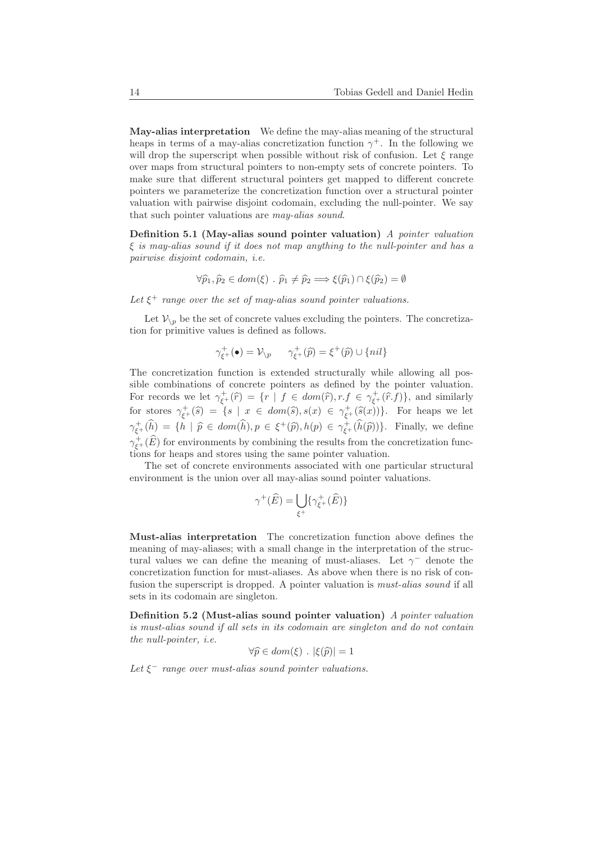May-alias interpretation We define the may-alias meaning of the structural heaps in terms of a may-alias concretization function  $\gamma^+$ . In the following we will drop the superscript when possible without risk of confusion. Let  $\xi$  range over maps from structural pointers to non-empty sets of concrete pointers. To make sure that different structural pointers get mapped to different concrete pointers we parameterize the concretization function over a structural pointer valuation with pairwise disjoint codomain, excluding the null-pointer. We say that such pointer valuations are may-alias sound.

Definition 5.1 (May-alias sound pointer valuation) A pointer valuation  $\xi$  is may-alias sound if it does not map anything to the null-pointer and has a pairwise disjoint codomain, i.e.

$$
\forall \widehat{p}_1, \widehat{p}_2 \in dom(\xi) \; . \; \widehat{p}_1 \neq \widehat{p}_2 \Longrightarrow \xi(\widehat{p}_1) \cap \xi(\widehat{p}_2) = \emptyset
$$

Let  $\xi^+$  range over the set of may-alias sound pointer valuations.

Let  $V_{\setminus p}$  be the set of concrete values excluding the pointers. The concretization for primitive values is defined as follows.

$$
\gamma_{\xi^+}^+(\bullet) = \mathcal{V}_{\setminus p} \qquad \gamma_{\xi^+}^+(\widehat{p}) = \xi^+(\widehat{p}) \cup \{nil\}
$$

The concretization function is extended structurally while allowing all possible combinations of concrete pointers as defined by the pointer valuation. For records we let  $\gamma_{\xi^+}^+(\hat{r}) = \{r \mid f \in dom(\hat{r}), r.f \in \gamma_{\xi^+}^+(\hat{r}.f)\}\)$ , and similarly for stores  $\gamma_{\xi^+}^+(\hat{s}) = \{s \mid x \in dom(\hat{s}), s(x) \in \gamma_{\xi^+}^+(\hat{s}(x))\}.$  For heaps we let  $\gamma_{\xi^+}^+(\hat{h}) = \{h \mid \hat{p} \in dom(\hat{h}), p \in \xi^+(\hat{p}), h(p) \in \gamma_{\xi^+}^+(\hat{h}(\hat{p}))\}.$  Finally, we define  $\gamma^+_{\xi^+}(\widehat{E})$  for environments by combining the results from the concretization functions for heaps and stores using the same pointer valuation.

The set of concrete environments associated with one particular structural environment is the union over all may-alias sound pointer valuations.

$$
\gamma^+(\widehat{E}) = \bigcup_{\xi^+} \{ \gamma^+_{\xi^+}(\widehat{E}) \}
$$

Must-alias interpretation The concretization function above defines the meaning of may-aliases; with a small change in the interpretation of the structural values we can define the meaning of must-aliases. Let  $\gamma$ <sup>-</sup> denote the concretization function for must-aliases. As above when there is no risk of confusion the superscript is dropped. A pointer valuation is must-alias sound if all sets in its codomain are singleton.

Definition 5.2 (Must-alias sound pointer valuation) A pointer valuation is must-alias sound if all sets in its codomain are singleton and do not contain the null-pointer, i.e.

$$
\forall \widehat{p} \in dom(\xi) \ . \ |\xi(\widehat{p})| = 1
$$

Let  $\xi^-$  range over must-alias sound pointer valuations.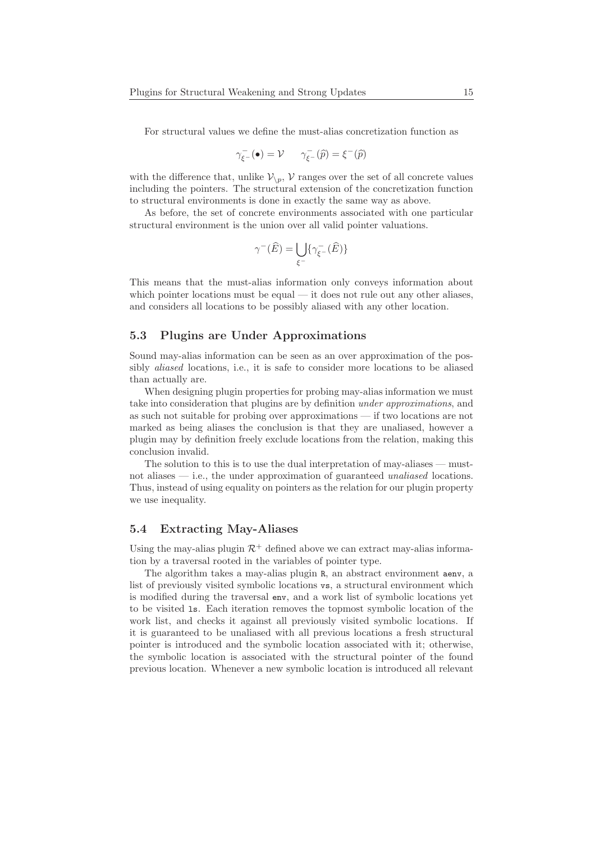For structural values we define the must-alias concretization function as

$$
\gamma^-_{\xi^-}(\bullet) = \mathcal{V} \qquad \gamma^-_{\xi^-}(\widehat{p}) = \xi^-(\widehat{p})
$$

with the difference that, unlike  $V_{\backslash p}$ , V ranges over the set of all concrete values including the pointers. The structural extension of the concretization function to structural environments is done in exactly the same way as above.

As before, the set of concrete environments associated with one particular structural environment is the union over all valid pointer valuations.

$$
\gamma^-(\widehat{E})=\bigcup_{\xi^-}\{\gamma^-_{\xi^-}(\widehat{E})\}
$$

This means that the must-alias information only conveys information about which pointer locations must be equal — it does not rule out any other aliases, and considers all locations to be possibly aliased with any other location.

#### 5.3 Plugins are Under Approximations

Sound may-alias information can be seen as an over approximation of the possibly aliased locations, i.e., it is safe to consider more locations to be aliased than actually are.

When designing plugin properties for probing may-alias information we must take into consideration that plugins are by definition under approximations, and as such not suitable for probing over approximations — if two locations are not marked as being aliases the conclusion is that they are unaliased, however a plugin may by definition freely exclude locations from the relation, making this conclusion invalid.

The solution to this is to use the dual interpretation of may-aliases — mustnot aliases — i.e., the under approximation of guaranteed unaliased locations. Thus, instead of using equality on pointers as the relation for our plugin property we use inequality.

#### 5.4 Extracting May-Aliases

Using the may-alias plugin  $\mathcal{R}^+$  defined above we can extract may-alias information by a traversal rooted in the variables of pointer type.

The algorithm takes a may-alias plugin R, an abstract environment aenv, a list of previously visited symbolic locations vs, a structural environment which is modified during the traversal env, and a work list of symbolic locations yet to be visited ls. Each iteration removes the topmost symbolic location of the work list, and checks it against all previously visited symbolic locations. If it is guaranteed to be unaliased with all previous locations a fresh structural pointer is introduced and the symbolic location associated with it; otherwise, the symbolic location is associated with the structural pointer of the found previous location. Whenever a new symbolic location is introduced all relevant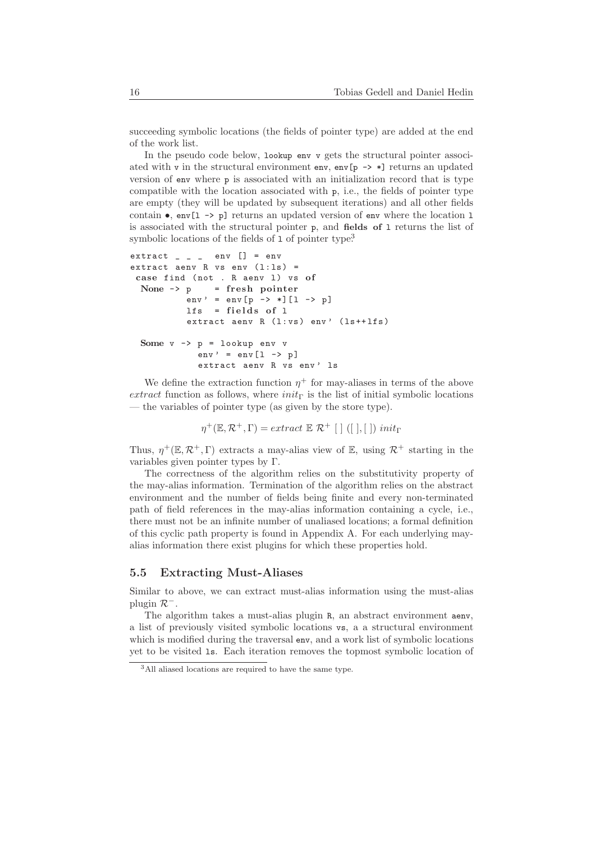succeeding symbolic locations (the fields of pointer type) are added at the end of the work list.

In the pseudo code below, lookup env v gets the structural pointer associated with v in the structural environment env, env[p  $\rightarrow$  \*] returns an updated version of env where p is associated with an initialization record that is type compatible with the location associated with p, i.e., the fields of pointer type are empty (they will be updated by subsequent iterations) and all other fields contain  $\bullet$ , env[1 -> p] returns an updated version of env where the location 1 is associated with the structural pointer p, and fields of l returns the list of symbolic locations of the fields of 1 of pointer type<sup>3</sup>

```
extract = ext{env} [] = envextract aenv R vs env (1:1s) =
 case find (not . R aenv 1) vs of
 None -> p = fresh pointer
          env' = env[p \rightarrow *][1 \rightarrow p]lfs = fields of lextract aenv R (1:vs) env' (1s+1fs)Some v -> p = lookup env v
            env' = env [1 \rightarrow p]extract aenv R vs env' 1s
```
We define the extraction function  $\eta^+$  for may-aliases in terms of the above extract function as follows, where  $init_{\Gamma}$  is the list of initial symbolic locations — the variables of pointer type (as given by the store type).

$$
\eta^+(\mathbb{E}, \mathcal{R}^+, \Gamma) = extract \mathbb{E} \mathcal{R}^+ \left[ \begin{array}{c} \end{array} \right] \left( \begin{array}{c} \end{array} \right], \left[ \begin{array}{c} \end{array} \right] \right) \text{ } init_{\Gamma}
$$

Thus,  $\eta^+(\mathbb{E}, \mathcal{R}^+, \Gamma)$  extracts a may-alias view of  $\mathbb{E}$ , using  $\mathcal{R}^+$  starting in the variables given pointer types by Γ.

The correctness of the algorithm relies on the substitutivity property of the may-alias information. Termination of the algorithm relies on the abstract environment and the number of fields being finite and every non-terminated path of field references in the may-alias information containing a cycle, i.e., there must not be an infinite number of unaliased locations; a formal definition of this cyclic path property is found in Appendix A. For each underlying mayalias information there exist plugins for which these properties hold.

### 5.5 Extracting Must-Aliases

Similar to above, we can extract must-alias information using the must-alias plugin  $\mathcal{R}^-$ .

The algorithm takes a must-alias plugin R, an abstract environment aenv, a list of previously visited symbolic locations vs, a a structural environment which is modified during the traversal env, and a work list of symbolic locations yet to be visited ls. Each iteration removes the topmost symbolic location of

<sup>3</sup>All aliased locations are required to have the same type.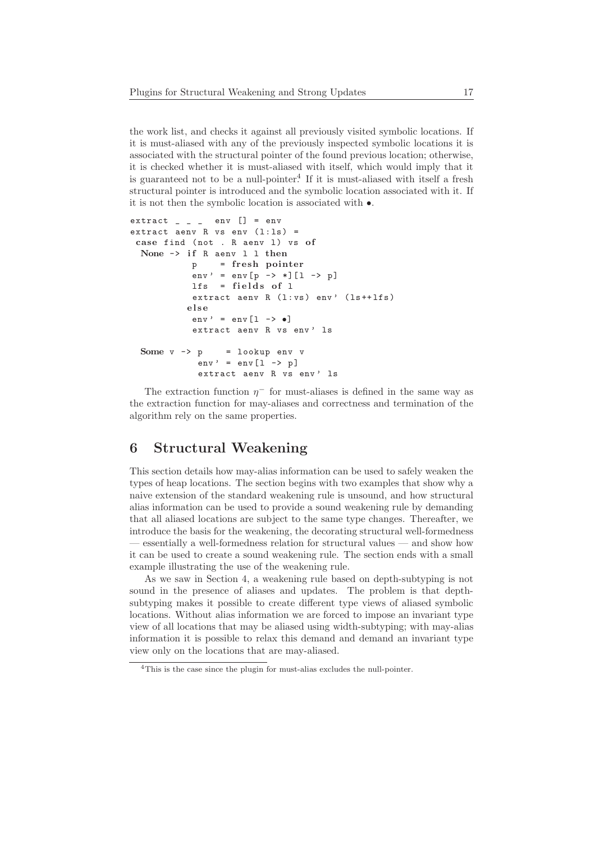the work list, and checks it against all previously visited symbolic locations. If it is must-aliased with any of the previously inspected symbolic locations it is associated with the structural pointer of the found previous location; otherwise, it is checked whether it is must-aliased with itself, which would imply that it is guaranteed not to be a null-pointer.<sup>4</sup> If it is must-aliased with itself a fresh structural pointer is introduced and the symbolic location associated with it. If it is not then the symbolic location is associated with •.

```
extract = ext{env} [] = envextract aenv R vs env (1:1s) =
 case find (not . R aenv 1) vs of
 None -> if R aenv 1 1 then
            p = fresh pointer
            env' = env [p -> *] [1 -> p]
            lfs = fields of lextract aenv R (1:ys) env' (1s+1fs)e l s e
            env' = env [1 \rightarrow \bullet]extract aenv R vs env' 1s
  Some v \rightarrow p = lookup env v
             env' = env [1 \rightarrow p]extract aenv R vs env' ls
```
The extraction function  $\eta^-$  for must-aliases is defined in the same way as the extraction function for may-aliases and correctness and termination of the algorithm rely on the same properties.

# 6 Structural Weakening

This section details how may-alias information can be used to safely weaken the types of heap locations. The section begins with two examples that show why a naive extension of the standard weakening rule is unsound, and how structural alias information can be used to provide a sound weakening rule by demanding that all aliased locations are subject to the same type changes. Thereafter, we introduce the basis for the weakening, the decorating structural well-formedness — essentially a well-formedness relation for structural values — and show how it can be used to create a sound weakening rule. The section ends with a small example illustrating the use of the weakening rule.

As we saw in Section 4, a weakening rule based on depth-subtyping is not sound in the presence of aliases and updates. The problem is that depthsubtyping makes it possible to create different type views of aliased symbolic locations. Without alias information we are forced to impose an invariant type view of all locations that may be aliased using width-subtyping; with may-alias information it is possible to relax this demand and demand an invariant type view only on the locations that are may-aliased.

<sup>4</sup>This is the case since the plugin for must-alias excludes the null-pointer.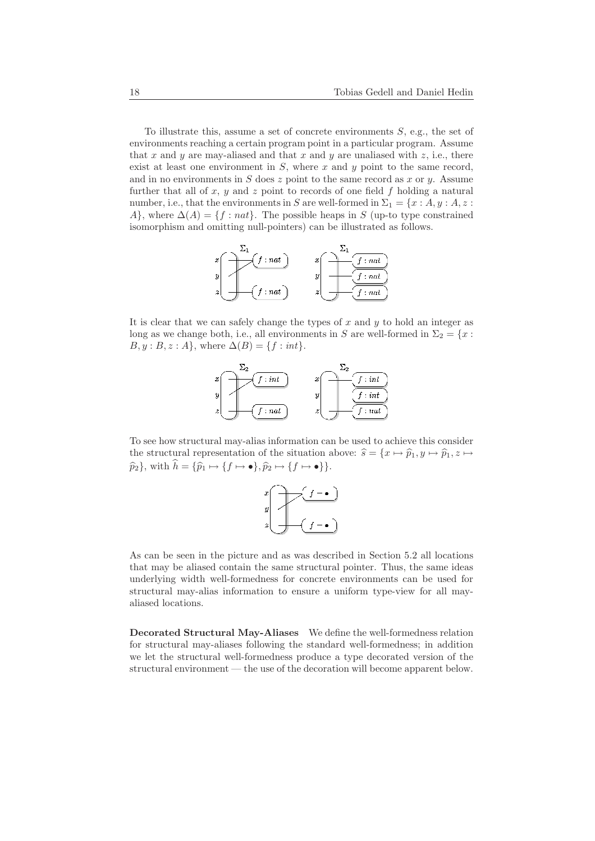To illustrate this, assume a set of concrete environments  $S$ , e.g., the set of environments reaching a certain program point in a particular program. Assume that x and y are may-aliased and that x and y are unaliased with  $z$ , i.e., there exist at least one environment in  $S$ , where  $x$  and  $y$  point to the same record, and in no environments in  $S$  does  $z$  point to the same record as  $x$  or  $y$ . Assume further that all of  $x, y$  and  $z$  point to records of one field  $f$  holding a natural number, i.e., that the environments in S are well-formed in  $\Sigma_1 = \{x : A, y : A, z : A\}$ A}, where  $\Delta(A) = \{f : nat\}$ . The possible heaps in S (up-to type constrained isomorphism and omitting null-pointers) can be illustrated as follows.

$$
x\begin{pmatrix} \sum_{1} \\ y \\ z \end{pmatrix} \begin{pmatrix} f: nat \\ f:nat \end{pmatrix} \qquad x\begin{pmatrix} \sum_{1} \\ f:nat \end{pmatrix}
$$

It is clear that we can safely change the types of  $x$  and  $y$  to hold an integer as long as we change both, i.e., all environments in S are well-formed in  $\Sigma_2 = \{x :$  $B, y : B, z : A$ , where  $\Delta(B) = \{f : int\}.$ 



To see how structural may-alias information can be used to achieve this consider the structural representation of the situation above:  $\hat{s} = \{x \mapsto \hat{p}_1, y \mapsto \hat{p}_1, z \mapsto z\}$  $\widehat{p}_2$ , with  $\widehat{h} = {\widehat{p}_1 \mapsto {f \mapsto \bullet}}, \widehat{p}_2 \mapsto {f \mapsto \bullet}.$ 



As can be seen in the picture and as was described in Section 5.2 all locations that may be aliased contain the same structural pointer. Thus, the same ideas underlying width well-formedness for concrete environments can be used for structural may-alias information to ensure a uniform type-view for all mayaliased locations.

Decorated Structural May-Aliases We define the well-formedness relation for structural may-aliases following the standard well-formedness; in addition we let the structural well-formedness produce a type decorated version of the structural environment — the use of the decoration will become apparent below.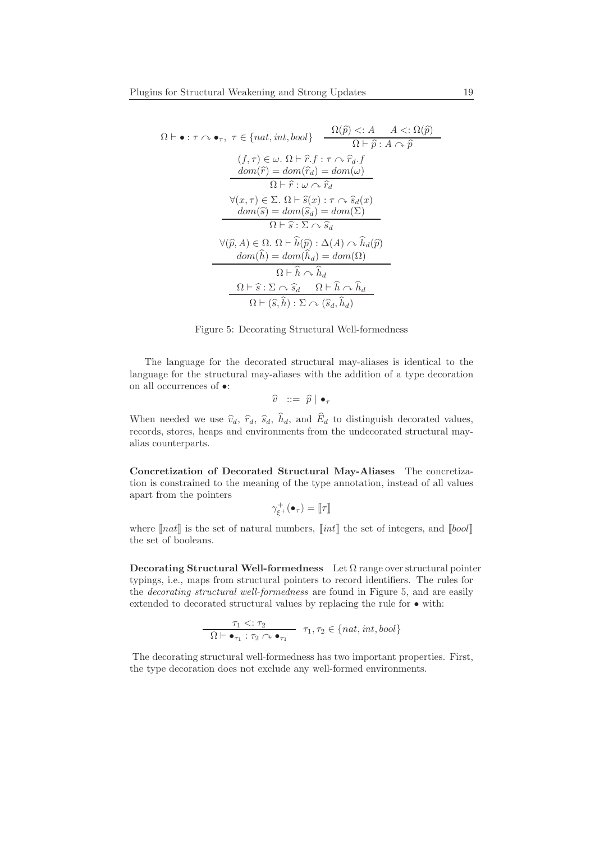$$
\Omega \vdash \bullet : \tau \curvearrowright \bullet_{\tau}, \ \tau \in \{nat, int, bool\} \quad \frac{\Omega(\widehat{p}) <: A \quad A <: \Omega(\widehat{p})}{\Omega \vdash \widehat{p} : A \curvearrowright \widehat{p}}
$$
\n
$$
(f, \tau) \in \omega. \ \Omega \vdash \widehat{r}. f : \tau \curvearrowright \widehat{r}_d. f
$$
\n
$$
\underline{dom}(\widehat{r}) = \underline{dom}(\widehat{r}_d) = \underline{dom}(\omega)
$$
\n
$$
\Omega \vdash \widehat{r} : \omega \curvearrowright \widehat{r}_d
$$
\n
$$
\forall (x, \tau) \in \Sigma. \ \Omega \vdash \widehat{s}(x) : \tau \curvearrowleft \widehat{s}_d(x)
$$
\n
$$
\underline{dom}(\widehat{s}) = \underline{dom}(\widehat{s}_d) = \underline{dom}(\Sigma)
$$
\n
$$
\Omega \vdash \widehat{s} : \Sigma \curvearrowright \widehat{s}_d
$$
\n
$$
\forall (\widehat{p}, A) \in \Omega. \ \Omega \vdash \widehat{h}(\widehat{p}) : \Delta(A) \curvearrowright \widehat{h}_d(\widehat{p})
$$
\n
$$
\underline{dom}(\widehat{h}) = \underline{dom}(\widehat{h}_d) = \underline{dom}(\Omega)
$$
\n
$$
\Omega \vdash \widehat{h} \curvearrowright \widehat{h}_d
$$
\n
$$
\Omega \vdash (\widehat{s}, \widehat{h}) : \Sigma \curvearrowleft (\widehat{s}_d, \widehat{h}_d)
$$



The language for the decorated structural may-aliases is identical to the language for the structural may-aliases with the addition of a type decoration on all occurrences of  $\bullet\!$  :

$$
\widehat{v} \ ::= \ \widehat{p} \mid \bullet_\tau
$$

When needed we use  $\hat{v}_d$ ,  $\hat{r}_d$ ,  $\hat{s}_d$ ,  $\hat{h}_d$ , and  $\hat{E}_d$  to distinguish decorated values, records, stores, heaps and environments from the undecorated structural mayalias counterparts.

Concretization of Decorated Structural May-Aliases The concretization is constrained to the meaning of the type annotation, instead of all values apart from the pointers

$$
\gamma_{\xi^+}^+(\bullet_\tau) = \llbracket \tau \rrbracket
$$

where  $[nat]$  is the set of natural numbers,  $[int]$  the set of integers, and  $[bool]$ the set of booleans.

Decorating Structural Well-formedness Let  $\Omega$  range over structural pointer typings, i.e., maps from structural pointers to record identifiers. The rules for the decorating structural well-formedness are found in Figure 5, and are easily extended to decorated structural values by replacing the rule for • with:

$$
\frac{\tau_1 <: \tau_2}{\Omega \vdash \bullet_{\tau_1} : \tau_2 \curvearrowright \bullet_{\tau_1}} \quad \tau_1, \tau_2 \in \{nat, int, bool\}
$$

 $\overline{a}$ 

The decorating structural well-formedness has two important properties. First, the type decoration does not exclude any well-formed environments.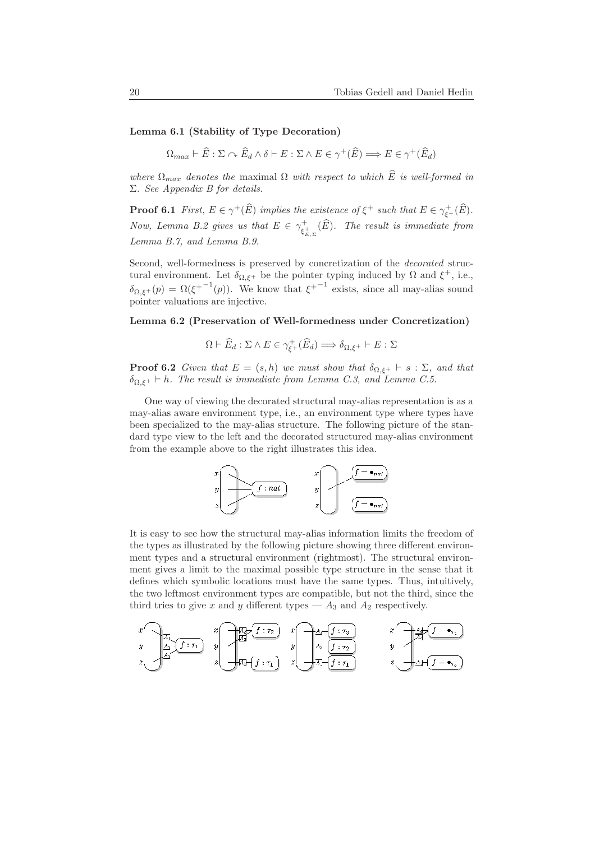#### Lemma 6.1 (Stability of Type Decoration)

 $\Omega_{max} \vdash \widehat{E} : \Sigma \curvearrowright \widehat{E}_d \wedge \delta \vdash E : \Sigma \wedge E \in \gamma^+(\widehat{E}) \Longrightarrow E \in \gamma^+(\widehat{E}_d)$ 

where  $\Omega_{max}$  denotes the maximal  $\Omega$  with respect to which  $\widehat{E}$  is well-formed in Σ. See Appendix B for details.

**Proof 6.1** First,  $E \in \gamma^+(\widehat{E})$  implies the existence of  $\xi^+$  such that  $E \in \gamma^+_{\xi^+}(\widehat{E})$ . Now, Lemma B.2 gives us that  $E \in \gamma_{c}^+$  $\epsilon_{\xi_{\rm E,\Sigma}}^{+}(E)$ . The result is immediate from Lemma B.7, and Lemma B.9.

Second, well-formedness is preserved by concretization of the decorated structural environment. Let  $\delta_{\Omega,\xi^+}$  be the pointer typing induced by  $\Omega$  and  $\xi^+$ , i.e.,  $\delta_{\Omega,\xi^+}(p) = \Omega(\xi^{+-1}(p)).$  We know that  $\xi^{+-1}$  exists, since all may-alias sound pointer valuations are injective.

#### Lemma 6.2 (Preservation of Well-formedness under Concretization)

$$
\Omega \vdash \widehat{E}_d : \Sigma \wedge E \in \gamma_{\xi^+}^+(\widehat{E}_d) \Longrightarrow \delta_{\Omega, \xi^+} \vdash E : \Sigma
$$

**Proof 6.2** Given that  $E = (s, h)$  we must show that  $\delta_{\Omega, \xi^+} \vdash s : \Sigma$ , and that  $\delta_{\Omega,\xi^+}\vdash h$ . The result is immediate from Lemma C.3, and Lemma C.5.

One way of viewing the decorated structural may-alias representation is as a may-alias aware environment type, i.e., an environment type where types have been specialized to the may-alias structure. The following picture of the standard type view to the left and the decorated structured may-alias environment from the example above to the right illustrates this idea.



It is easy to see how the structural may-alias information limits the freedom of the types as illustrated by the following picture showing three different environment types and a structural environment (rightmost). The structural environment gives a limit to the maximal possible type structure in the sense that it defines which symbolic locations must have the same types. Thus, intuitively, the two leftmost environment types are compatible, but not the third, since the third tries to give x and y different types —  $A_3$  and  $A_2$  respectively.

$$
x\n\begin{bmatrix}\n x \\
 y \\
 z\n\end{bmatrix}\n\begin{bmatrix}\n x \\
 y \\
 z\n\end{bmatrix}\n\begin{bmatrix}\n x \\
 y \\
 z\n\end{bmatrix}\n\begin{bmatrix}\n x \\
 y \\
 z\n\end{bmatrix}\n\begin{bmatrix}\n x_1 \\
 y_2 \\
 z\n\end{bmatrix}\n\begin{bmatrix}\n x_1 \\
 y_2 \\
 z\n\end{bmatrix}\n\begin{bmatrix}\n x_1 \\
 y_2 \\
 z\n\end{bmatrix}\n\begin{bmatrix}\n x_1 \\
 y_2 \\
 z\n\end{bmatrix}\n\begin{bmatrix}\n x_2 \\
 y_1 \\
 z\n\end{bmatrix}\n\begin{bmatrix}\n x_1 \\
 y_2 \\
 z\n\end{bmatrix}\n\begin{bmatrix}\n x_1 \\
 y_2 \\
 z\n\end{bmatrix}\n\begin{bmatrix}\n x_1 \\
 y_2 \\
 z\n\end{bmatrix}\n\begin{bmatrix}\n x_1 \\
 y_2 \\
 z\n\end{bmatrix}\n\begin{bmatrix}\n x_1 \\
 y_2 \\
 z\n\end{bmatrix}\n\begin{bmatrix}\n x_1 \\
 y_2 \\
 z\n\end{bmatrix}\n\begin{bmatrix}\n x_1 \\
 y_2 \\
 z\n\end{bmatrix}\n\begin{bmatrix}\n x_1 \\
 y_2 \\
 z\n\end{bmatrix}\n\begin{bmatrix}\n x_1 \\
 y_2 \\
 z\n\end{bmatrix}\n\begin{bmatrix}\n x_1 \\
 y_2 \\
 z\n\end{bmatrix}\n\begin{bmatrix}\n x_1 \\
 y_2 \\
 z\n\end{bmatrix}\n\begin{bmatrix}\n x_1 \\
 y_2 \\
 z\n\end{bmatrix}\n\begin{bmatrix}\n x_1 \\
 y_2 \\
 z\n\end{bmatrix}\n\begin{bmatrix}\n x_1 \\
 y_2 \\
 z\n\end{bmatrix}\n\begin{bmatrix}\n x_1 \\
 y_2 \\
 z\n\end{bmatrix}\n\begin{bmatrix}\n x_1 \\
 y_2 \\
 z\n\end{bmatrix}\n\begin{bmatrix}\n x_1 \\
 y_2 \\
 z\n\end{bmatrix}\n\begin{bmatrix}\n x_1 \\
 y_2 \\
 z\n\end{bmatrix}\n\begin{bmatrix}\n x_1 \\
 y_2 \\
 z\n\end{bmatrix}\n\begin{bmatrix}\n x_1 \\
 y_2 \\
 z\n\end{bmatrix}\n\begin{bmatrix}\n x_1 \\
 y_2 \\
 z\n\end{bmatrix}\n\begin{bmatrix}\n x_1 \\
 y_2 \\
 z\n\end{bmatrix}\n\begin{bmatrix}\n x_1 \\
 y_2 \\
 z\n\end{bmatrix}\n\begin{bmatrix
$$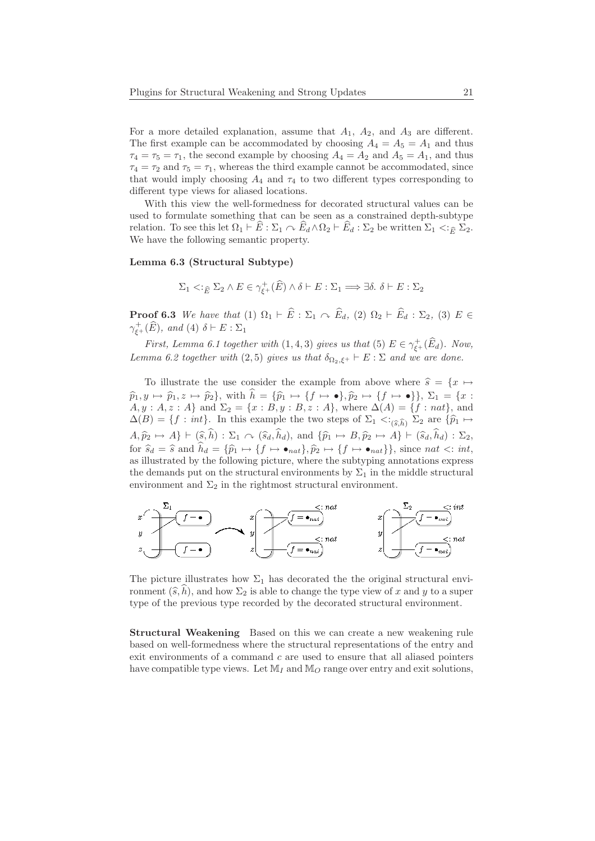For a more detailed explanation, assume that  $A_1$ ,  $A_2$ , and  $A_3$  are different. The first example can be accommodated by choosing  $A_4 = A_5 = A_1$  and thus  $\tau_4 = \tau_5 = \tau_1$ , the second example by choosing  $A_4 = A_2$  and  $A_5 = A_1$ , and thus  $\tau_4 = \tau_2$  and  $\tau_5 = \tau_1$ , whereas the third example cannot be accommodated, since that would imply choosing  $A_4$  and  $\tau_4$  to two different types corresponding to different type views for aliased locations.

With this view the well-formedness for decorated structural values can be used to formulate something that can be seen as a constrained depth-subtype relation. To see this let  $\Omega_1 \vdash \widehat{E}: \Sigma_1 \cap \widehat{E}_d \wedge \Omega_2 \vdash \widehat{E}_d : \Sigma_2$  be written  $\Sigma_1 < \widehat{E}_E \Sigma_2$ . We have the following semantic property.

#### Lemma 6.3 (Structural Subtype)

$$
\Sigma_1 < \varepsilon_{\widehat{E}} \Sigma_2 \wedge E \in \gamma_{\xi^+}^+(\widehat{E}) \wedge \delta \vdash E : \Sigma_1 \Longrightarrow \exists \delta. \ \delta \vdash E : \Sigma_2
$$

**Proof 6.3** We have that (1)  $\Omega_1 \vdash \widehat{E} : \Sigma_1 \cap \widehat{E}_d$ , (2)  $\Omega_2 \vdash \widehat{E}_d : \Sigma_2$ , (3)  $E \in$  $\gamma_{\xi^+}^+(\widehat{E}), \text{ and } (4) \text{ } \delta \vdash E : \Sigma_1$ 

First, Lemma 6.1 together with  $(1,4,3)$  gives us that  $(5)$   $E \in \gamma_{\xi^+}^+(\widehat{E}_d)$ . Now, Lemma 6.2 together with (2,5) gives us that  $\delta_{\Omega_2,\xi^+}\vdash E:\Sigma$  and we are done.

To illustrate the use consider the example from above where  $\hat{s} = \{x \mapsto$  $\widehat{p}_1, y \mapsto \widehat{p}_1, z \mapsto \widehat{p}_2$ , with  $\widehat{h} = {\widehat{p}_1 \mapsto {f \mapsto \bullet}}, \widehat{p}_2 \mapsto {f \mapsto \bullet}$ ,  $\Sigma_1 = \{x :$  $A, y : A, z : A$  and  $\Sigma_2 = \{x : B, y : B, z : A\}$ , where  $\Delta(A) = \{f : nat\}$ , and  $\Delta(B) = \{f : int\}.$  In this example the two steps of  $\Sigma_1 \langle \xi, \hat{h} \rangle$   $\Sigma_2$  are  $\{\hat{p}_1 \mapsto$  $A, \hat{p}_2 \mapsto A\} \vdash (\widehat{s}, \widehat{h}) : \Sigma_1 \curvearrowright (\widehat{s}_d, \widehat{h}_d),$  and  $\{\widehat{p}_1 \mapsto B, \widehat{p}_2 \mapsto A\} \vdash (\widehat{s}_d, \widehat{h}_d) : \Sigma_2$ , for  $\hat{s}_d = \hat{s}$  and  $\hat{h}_d = {\hat{p}_1 \mapsto {f \mapsto \bullet_{nat}}}, \hat{p}_2 \mapsto {f \mapsto \bullet_{nat}}$ , since nat  $\langle : int,$ as illustrated by the following picture, where the subtyping annotations express the demands put on the structural environments by  $\Sigma_1$  in the middle structural environment and  $\Sigma_2$  in the rightmost structural environment.



The picture illustrates how  $\Sigma_1$  has decorated the the original structural environment  $(\widehat{s}, h)$ , and how  $\Sigma_2$  is able to change the type view of x and y to a super type of the previous type recorded by the decorated structural environment.

Structural Weakening Based on this we can create a new weakening rule based on well-formedness where the structural representations of the entry and exit environments of a command c are used to ensure that all aliased pointers have compatible type views. Let  $\mathbb{M}_I$  and  $\mathbb{M}_O$  range over entry and exit solutions,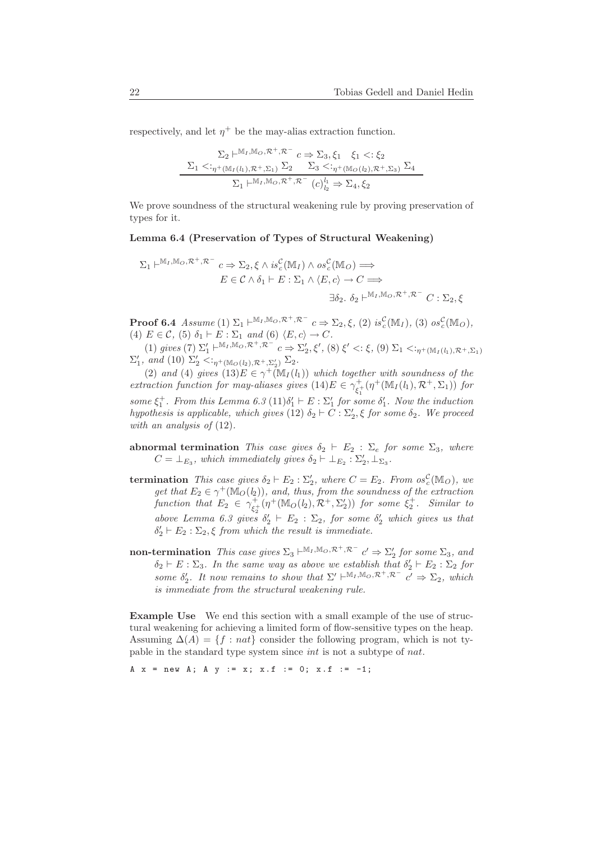respectively, and let  $\eta^+$  be the may-alias extraction function.

$$
\Sigma_2 \vdash^{\mathbb{M}_I, \mathbb{M}_O, \mathcal{R}^+, \mathcal{R}^-} c \Rightarrow \Sigma_3, \xi_1 \quad \xi_1 <: \xi_2
$$
\n
$$
\Sigma_1 <:_{\eta^+(\mathbb{M}_I(l_1), \mathcal{R}^+, \Sigma_1)} \Sigma_2 \quad \Sigma_3 <:_{\eta^+(\mathbb{M}_O(l_2), \mathcal{R}^+, \Sigma_3)} \Sigma_4
$$
\n
$$
\Sigma_1 \vdash^{\mathbb{M}_I, \mathbb{M}_O, \mathcal{R}^+, \mathcal{R}^-} (c)_{l_2}^{l_1} \Rightarrow \Sigma_4, \xi_2
$$

We prove soundness of the structural weakening rule by proving preservation of types for it.

#### Lemma 6.4 (Preservation of Types of Structural Weakening)

$$
\Sigma_1 \vdash^{\mathbb{M}_I, \mathbb{M}_O, \mathcal{R}^+, \mathcal{R}^-} c \Rightarrow \Sigma_2, \xi \wedge is^{\mathcal{C}}_c(\mathbb{M}_I) \wedge os^{\mathcal{C}}_c(\mathbb{M}_O) \Longrightarrow
$$
  

$$
E \in \mathcal{C} \wedge \delta_1 \vdash E : \Sigma_1 \wedge \langle E, c \rangle \to C \Longrightarrow
$$
  

$$
\exists \delta_2. \ \delta_2 \vdash^{\mathbb{M}_I, \mathbb{M}_O, \mathcal{R}^+, \mathcal{R}^-} C : \Sigma_2, \xi
$$

**Proof 6.4** Assume (1)  $\Sigma_1 \vdash^{\mathbb{M}_I, \mathbb{M}_O, \mathcal{R}^+, \mathcal{R}^-} c \Rightarrow \Sigma_2, \xi$ , (2) is  $_c^{\mathcal{C}}(\mathbb{M}_I)$ , (3) os  $_c^{\mathcal{C}}(\mathbb{M}_O)$ , (4)  $E \in \mathcal{C}$ , (5)  $\delta_1 \vdash E : \Sigma_1$  and (6)  $\langle E, c \rangle \rightarrow C$ .

(1) gives (7)  $\Sigma'_1 \vdash^{\mathbb{M}_I, \mathbb{M}_O, \mathcal{R}^+, \mathcal{R}^-} c \Rightarrow \Sigma'_2, \xi', (8) \xi' < \xi, (9) \Sigma_1 < \varepsilon_{\eta^+(\mathbb{M}_I(l_1), \mathcal{R}^+, \Sigma_1)}$  $\Sigma'_1$ , and (10)  $\Sigma'_2 < \varepsilon_{\eta^+({\mathbb M}_O(l_2), {\mathcal R}^+, \Sigma'_2)} \Sigma_2$ .

(2) and (4) gives  $(13)E \in \gamma^+ (\mathbb{M}_I(l_1))$  which together with soundness of the extraction function for may-aliases gives  $(14)E \in \gamma_{c}^+$  $\frac{1}{\xi_1^+}(\eta^+(\mathbb{M}_I(l_1), \mathcal{R}^+, \Sigma_1))$  for some  $\xi_1^+$ . From this Lemma 6.3 (11) $\delta'_1 \vdash E : \Sigma'_1$  for some  $\delta'_1$ . Now the induction hypothesis is applicable, which gives (12)  $\delta_2 \vdash C : \Sigma'_2$ ,  $\xi$  for some  $\delta_2$ . We proceed with an analysis of  $(12)$ .

- abnormal termination This case gives  $\delta_2$  ⊢  $E_2$  :  $\Sigma_e$  for some  $\Sigma_3$ , where  $C = \perp_{E_3}$ , which immediately gives  $\delta_2 \vdash \perp_{E_2} : \Sigma'_2, \perp_{\Sigma_3}$ .
- termination This case gives  $\delta_2 \vdash E_2 : \Sigma'_2$ , where  $C = E_2$ . From  $\sigma s_c^{\mathcal{C}}(\mathbb{M}_O)$ , we get that  $E_2 \in \gamma^+({\mathbb M}_O(l_2))$ , and, thus, from the soundness of the extraction function that  $E_2 \in \gamma_{c}^+$  $\begin{pmatrix} + \\ \xi_2^+ (\eta^+ (\mathbb{M}_O(l_2), \mathcal{R}^+, \Sigma_2')) & \text{for some } \xi_2^+ \text{.} \end{pmatrix}$  Similar to above Lemma 6.3 gives  $\delta'_2$   $\vdash E_2$  :  $\Sigma_2$ , for some  $\delta'_2$  which gives us that  $\delta'_2 \vdash E_2 : \Sigma_2, \xi$  from which the result is immediate.
- non-termination This case gives  $\Sigma_3 \vdash^{M_I, M_O, \mathcal{R}^+, \mathcal{R}^-} c' \Rightarrow \Sigma'_2$  for some  $\Sigma_3$ , and  $\delta_2 \vdash E : \Sigma_3$ . In the same way as above we establish that  $\delta'_2 \vdash E_2 : \Sigma_2$  for some  $\delta_2'$ . It now remains to show that  $\Sigma' \vdash^{\mathbb{M}_I, \mathbb{M}_O, \mathcal{R}^+, \mathcal{R}^-}$   $c' \Rightarrow \Sigma_2$ , which is immediate from the structural weakening rule.

Example Use We end this section with a small example of the use of structural weakening for achieving a limited form of flow-sensitive types on the heap. Assuming  $\Delta(A) = \{f : nat\}$  consider the following program, which is not typable in the standard type system since int is not a subtype of nat.

A  $x = new A$ ; A  $y := x$ ;  $x.f := 0$ ;  $x.f := -1$ ;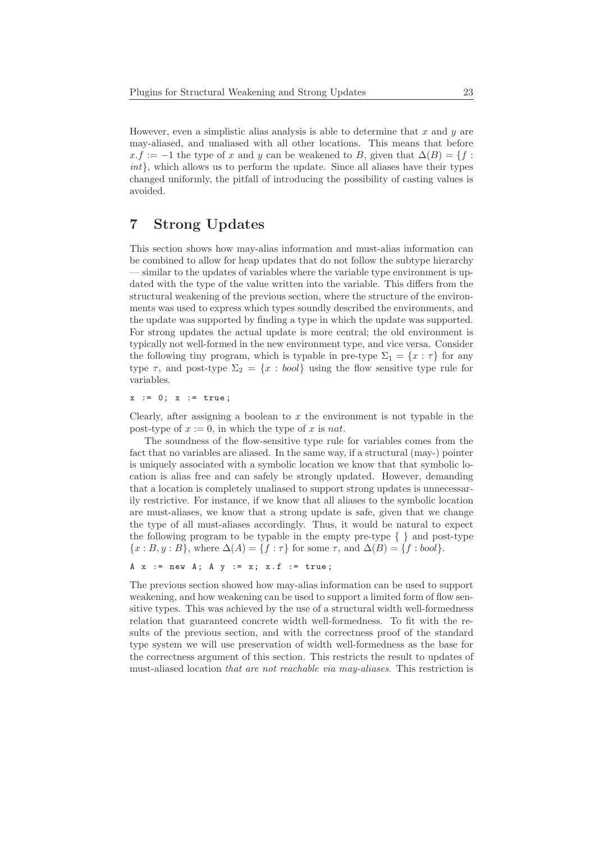However, even a simplistic alias analysis is able to determine that  $x$  and  $y$  are may-aliased, and unaliased with all other locations. This means that before  $x.f := -1$  the type of x and y can be weakened to B, given that  $\Delta(B) = \{f :$ int}, which allows us to perform the update. Since all aliases have their types changed uniformly, the pitfall of introducing the possibility of casting values is avoided.

## 7 Strong Updates

This section shows how may-alias information and must-alias information can be combined to allow for heap updates that do not follow the subtype hierarchy — similar to the updates of variables where the variable type environment is updated with the type of the value written into the variable. This differs from the structural weakening of the previous section, where the structure of the environments was used to express which types soundly described the environments, and the update was supported by finding a type in which the update was supported. For strong updates the actual update is more central; the old environment is typically not well-formed in the new environment type, and vice versa. Consider the following tiny program, which is typable in pre-type  $\Sigma_1 = \{x : \tau\}$  for any type  $\tau$ , and post-type  $\Sigma_2 = \{x : \text{bool}\}\$  using the flow sensitive type rule for variables.

 $x := 0; x := true;$ 

Clearly, after assigning a boolean to  $x$  the environment is not typable in the post-type of  $x := 0$ , in which the type of x is nat.

The soundness of the flow-sensitive type rule for variables comes from the fact that no variables are aliased. In the same way, if a structural (may-) pointer is uniquely associated with a symbolic location we know that that symbolic location is alias free and can safely be strongly updated. However, demanding that a location is completely unaliased to support strong updates is unnecessarily restrictive. For instance, if we know that all aliases to the symbolic location are must-aliases, we know that a strong update is safe, given that we change the type of all must-aliases accordingly. Thus, it would be natural to expect the following program to be typable in the empty pre-type  $\{\}$  and post-type  $\{x : B, y : B\}$ , where  $\Delta(A) = \{f : \tau\}$  for some  $\tau$ , and  $\Delta(B) = \{f : bool\}$ .

```
A \times := new A; A \times := x; x.f := true;
```
The previous section showed how may-alias information can be used to support weakening, and how weakening can be used to support a limited form of flow sensitive types. This was achieved by the use of a structural width well-formedness relation that guaranteed concrete width well-formedness. To fit with the results of the previous section, and with the correctness proof of the standard type system we will use preservation of width well-formedness as the base for the correctness argument of this section. This restricts the result to updates of must-aliased location that are not reachable via may-aliases. This restriction is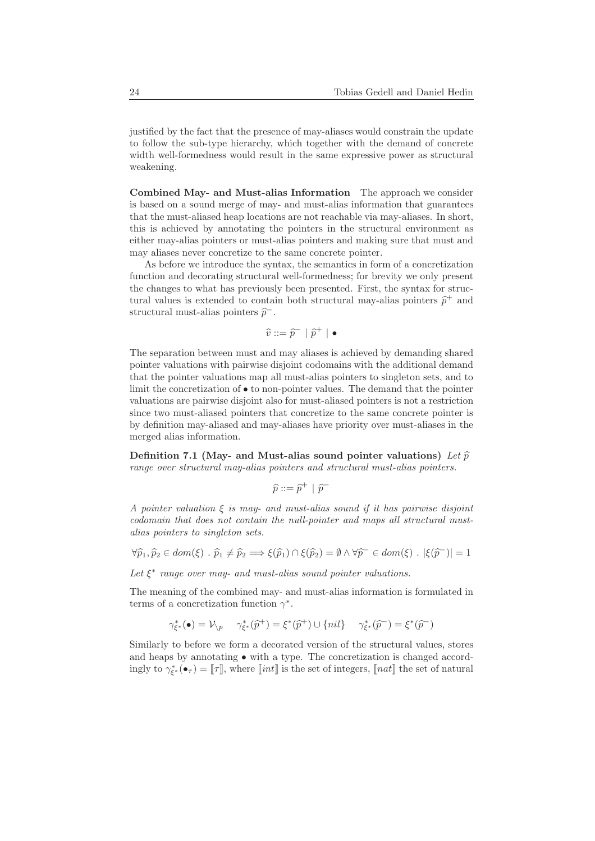justified by the fact that the presence of may-aliases would constrain the update to follow the sub-type hierarchy, which together with the demand of concrete width well-formedness would result in the same expressive power as structural weakening.

Combined May- and Must-alias Information The approach we consider is based on a sound merge of may- and must-alias information that guarantees that the must-aliased heap locations are not reachable via may-aliases. In short, this is achieved by annotating the pointers in the structural environment as either may-alias pointers or must-alias pointers and making sure that must and may aliases never concretize to the same concrete pointer.

As before we introduce the syntax, the semantics in form of a concretization function and decorating structural well-formedness; for brevity we only present the changes to what has previously been presented. First, the syntax for structural values is extended to contain both structural may-alias pointers  $\hat{p}^+$  and structural must-alias pointers  $\hat{p}^-$ .

$$
\widehat{v} ::= \widehat{p}^- | \widehat{p}^+ | \bullet
$$

The separation between must and may aliases is achieved by demanding shared pointer valuations with pairwise disjoint codomains with the additional demand that the pointer valuations map all must-alias pointers to singleton sets, and to limit the concretization of  $\bullet$  to non-pointer values. The demand that the pointer valuations are pairwise disjoint also for must-aliased pointers is not a restriction since two must-aliased pointers that concretize to the same concrete pointer is by definition may-aliased and may-aliases have priority over must-aliases in the merged alias information.

Definition 7.1 (May- and Must-alias sound pointer valuations) Let  $\hat{p}$ range over structural may-alias pointers and structural must-alias pointers.

$$
\widehat{p} ::= \widehat{p}^+ \ | \ \widehat{p}^-
$$

A pointer valuation  $\xi$  is may- and must-alias sound if it has pairwise disjoint codomain that does not contain the null-pointer and maps all structural mustalias pointers to singleton sets.

$$
\forall \widehat{p}_1, \widehat{p}_2 \in dom(\xi) \; . \; \widehat{p}_1 \neq \widehat{p}_2 \Longrightarrow \xi(\widehat{p}_1) \cap \xi(\widehat{p}_2) = \emptyset \land \forall \widehat{p}^- \in dom(\xi) \; . \; |\xi(\widehat{p}^-)| = 1
$$

Let  $\xi^*$  range over may- and must-alias sound pointer valuations.

The meaning of the combined may- and must-alias information is formulated in terms of a concretization function  $\gamma^*$ .

$$
\gamma_{\xi^*}^*(\bullet) = \mathcal{V}_{\backslash p} \quad \gamma_{\xi^*}^*(\widehat{p}^+) = \xi^*(\widehat{p}^+) \cup \{nil\} \quad \gamma_{\xi^*}^*(\widehat{p}^-) = \xi^*(\widehat{p}^-)
$$

Similarly to before we form a decorated version of the structural values, stores and heaps by annotating  $\bullet$  with a type. The concretization is changed accordingly to  $\gamma^*_{\xi^*}(\bullet_\tau) = [\![\tau]\!]$ , where  $[\![\mathit{int}]\!]$  is the set of integers,  $[\![\mathit{nat}]\!]$  the set of natural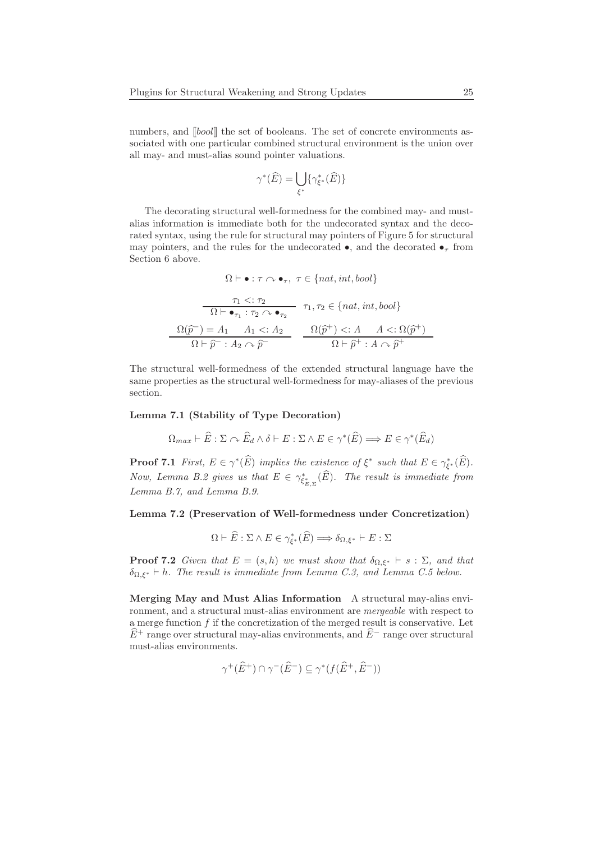numbers, and  $\llbracket bool \rrbracket$  the set of booleans. The set of concrete environments associated with one particular combined structural environment is the union over all may- and must-alias sound pointer valuations.

$$
\gamma^*(\widehat{E}) = \bigcup_{\xi^*} \{ \gamma_{\xi^*}^*(\widehat{E}) \}
$$

The decorating structural well-formedness for the combined may- and mustalias information is immediate both for the undecorated syntax and the decorated syntax, using the rule for structural may pointers of Figure 5 for structural may pointers, and the rules for the undecorated  $\bullet$ , and the decorated  $\bullet$ <sub>τ</sub> from Section 6 above.

$$
\Omega \vdash \bullet : \tau \curvearrowright \bullet_{\tau}, \ \tau \in \{nat, int, bool\}
$$
\n
$$
\frac{\tau_1 < : \tau_2}{\Omega \vdash \bullet_{\tau_1} : \tau_2 \curvearrowright \bullet_{\tau_2}} \quad \tau_1, \tau_2 \in \{nat, int, bool\}
$$
\n
$$
\frac{\Omega(\widehat{p}^-) = A_1 \quad A_1 < : A_2}{\Omega \vdash \widehat{p}^- : A_2 \curvearrowright \widehat{p}^-} \quad \frac{\Omega(\widehat{p}^+) < : A \quad A < : \Omega(\widehat{p}^+)}{\Omega \vdash \widehat{p}^+ : A \curvearrowright \widehat{p}^+}
$$

The structural well-formedness of the extended structural language have the same properties as the structural well-formedness for may-aliases of the previous section.

#### Lemma 7.1 (Stability of Type Decoration)

$$
\Omega_{max} \vdash \widehat{E} : \Sigma \curvearrowright \widehat{E}_d \wedge \delta \vdash E : \Sigma \wedge E \in \gamma^*(\widehat{E}) \Longrightarrow E \in \gamma^*(\widehat{E}_d)
$$

**Proof 7.1** First,  $E \in \gamma^*(\widehat{E})$  implies the existence of  $\xi^*$  such that  $E \in \gamma_{\xi^*}^*(\widehat{E})$ . Now, Lemma B.2 gives us that  $E \in \gamma_{\xi_{E,\Sigma}^*}^*(\widehat{E})$ . The result is immediate from Lemma B.7, and Lemma B.9.

#### Lemma 7.2 (Preservation of Well-formedness under Concretization)

$$
\Omega \vdash \widehat{E} : \Sigma \wedge E \in \gamma_{\xi^*}^*(\widehat{E}) \Longrightarrow \delta_{\Omega, \xi^*} \vdash E : \Sigma
$$

**Proof 7.2** Given that  $E = (s, h)$  we must show that  $\delta_{\Omega, \xi^*} \vdash s : \Sigma$ , and that  $\delta_{\Omega,\xi^*} \vdash h$ . The result is immediate from Lemma C.3, and Lemma C.5 below.

Merging May and Must Alias Information A structural may-alias environment, and a structural must-alias environment are mergeable with respect to a merge function  $f$  if the concretization of the merged result is conservative. Let  $\widehat{E}$ <sup>+</sup> range over structural may-alias environments, and  $\widehat{E}$ <sup>−</sup> range over structural must-alias environments.

$$
\gamma^+(\widehat{E}^+) \cap \gamma^-(\widehat{E}^-) \subseteq \gamma^*(f(\widehat{E}^+,\widehat{E}^-))
$$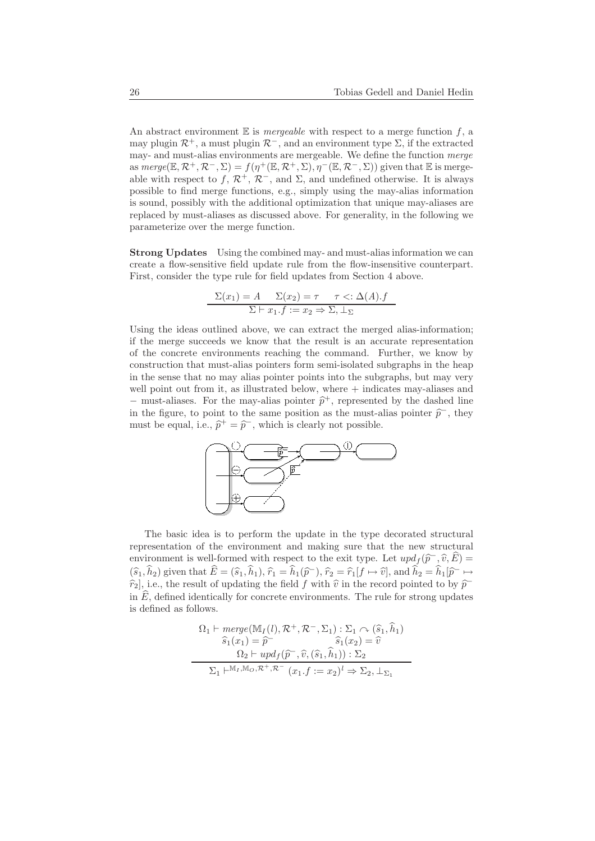An abstract environment  $E$  is *mergeable* with respect to a merge function f, a may plugin  $\mathcal{R}^+$ , a must plugin  $\mathcal{R}^-$ , and an environment type  $\Sigma$ , if the extracted may- and must-alias environments are mergeable. We define the function merge as  $merge(\mathbb{E}, \mathcal{R}^+, \mathcal{R}^-, \Sigma) = f(\eta^+(\mathbb{E}, \mathcal{R}^+, \Sigma), \eta^-(\mathbb{E}, \mathcal{R}^-, \Sigma))$  given that  $\mathbb E$  is mergeable with respect to f,  $\mathcal{R}^+$ ,  $\mathcal{R}^-$ , and  $\Sigma$ , and undefined otherwise. It is always possible to find merge functions, e.g., simply using the may-alias information is sound, possibly with the additional optimization that unique may-aliases are replaced by must-aliases as discussed above. For generality, in the following we parameterize over the merge function.

Strong Updates Using the combined may- and must-alias information we can create a flow-sensitive field update rule from the flow-insensitive counterpart. First, consider the type rule for field updates from Section 4 above.

$$
\frac{\Sigma(x_1) = A \quad \Sigma(x_2) = \tau \quad \tau <: \Delta(A).f}{\Sigma \vdash x_1.f := x_2 \Rightarrow \Sigma, \bot_{\Sigma}}
$$

Using the ideas outlined above, we can extract the merged alias-information; if the merge succeeds we know that the result is an accurate representation of the concrete environments reaching the command. Further, we know by construction that must-alias pointers form semi-isolated subgraphs in the heap in the sense that no may alias pointer points into the subgraphs, but may very well point out from it, as illustrated below, where  $+$  indicates may-aliases and − must-aliases. For the may-alias pointer  $\hat{p}^+$ , represented by the dashed line in the figure, to point to the same position as the must-alias pointer  $\hat{p}^-$ , they must be equal, i.e.,  $\hat{p}^+ = \hat{p}^-$ , which is clearly not possible.



The basic idea is to perform the update in the type decorated structural representation of the environment and making sure that the new structural environment is well-formed with respect to the exit type. Let  $\operatorname{upd}_f(\widehat{p}^-, \widehat{v}, \widehat{E}) =$  $(\widehat{s}_1, \widehat{h}_2)$  given that  $\widehat{E} = (\widehat{s}_1, \widehat{h}_1), \widehat{r}_1 = \widehat{h}_1(\widehat{p}^-), \widehat{r}_2 = \widehat{r}_1[f \mapsto \widehat{v}],$  and  $\widehat{h}_2 = \widehat{h}_1[\widehat{p}^- \mapsto \widehat{v}_2]$  $\widehat{r}_2$ , i.e., the result of updating the field  $f$  with  $\widehat{v}$  in the record pointed to by  $\widehat{p}^$ in  $\hat{E}$ , defined identically for concrete environments. The rule for strong updates is defined as follows.

$$
\Omega_1 \vdash merge(\mathbb{M}_I(l), \mathcal{R}^+, \mathcal{R}^-, \Sigma_1) : \Sigma_1 \curvearrowright (\hat{s}_1, \hat{h}_1)
$$
  
\n
$$
\hat{s}_1(x_1) = \hat{p} \qquad \hat{s}_1(x_2) = \hat{v}
$$
  
\n
$$
\Omega_2 \vdash updf(\hat{p}^-, \hat{v}, (\hat{s}_1, \hat{h}_1)) : \Sigma_2
$$
  
\n
$$
\Sigma_1 \vdash^{\mathbb{M}_I, \mathbb{M}_O, \mathcal{R}^+, \mathcal{R}^-} (x_1, f := x_2)^l \Rightarrow \Sigma_2, \bot_{\Sigma_1}
$$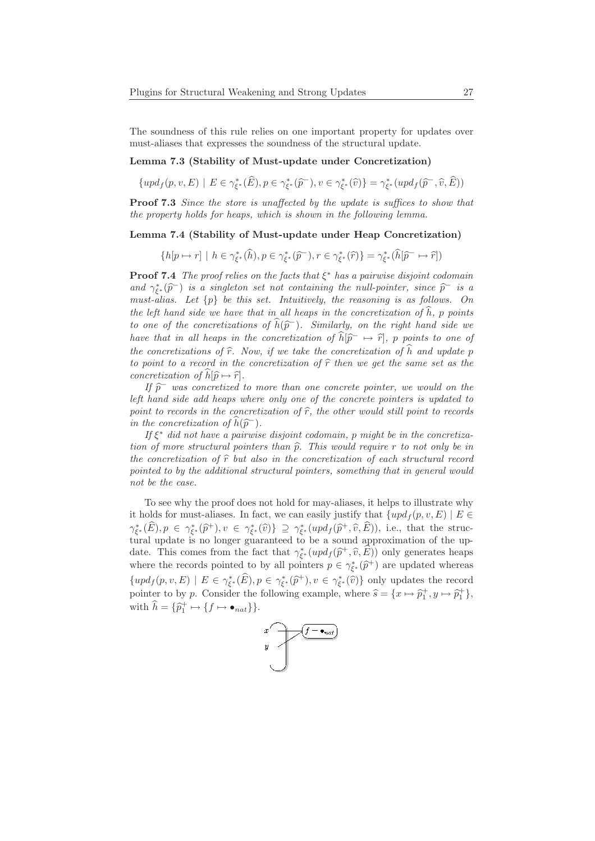The soundness of this rule relies on one important property for updates over must-aliases that expresses the soundness of the structural update.

### Lemma 7.3 (Stability of Must-update under Concretization)

 $\{upd_f(p, v, E) \mid E \in \gamma_{\xi^*}^*(\widehat{E}), p \in \gamma_{\xi^*}^*(\widehat{p}^-), v \in \gamma_{\xi^*}^*(\widehat{v})\} = \gamma_{\xi^*}^*(upd_f(\widehat{p}^-,\widehat{v},\widehat{E}))$ 

Proof 7.3 Since the store is unaffected by the update is suffices to show that the property holds for heaps, which is shown in the following lemma.

#### Lemma 7.4 (Stability of Must-update under Heap Concretization)

$$
\{h[p \mapsto r] \mid h \in \gamma_{\xi^*}^*(\widehat{h}), p \in \gamma_{\xi^*}^*(\widehat{p}^-), r \in \gamma_{\xi^*}^*(\widehat{r})\} = \gamma_{\xi^*}^*(\widehat{h}[\widehat{p}^- \mapsto \widehat{r}])
$$

**Proof 7.4** The proof relies on the facts that  $\xi^*$  has a pairwise disjoint codomain and  $\gamma_{\xi^*}^*(\widehat{p})$  is a singleton set not containing the null-pointer, since  $\widehat{p}$  is a must-alias. Let  $\{p\}$  be this set. Intuitively, the reasoning is as follows. On the left hand side we have that in all heaps in the concretization of  $\hat{h}$ , p points to one of the concretizations of  $\widehat{h}(\widehat{p}^-)$ . Similarly, on the right hand side we have that in all heaps in the concretization of  $\hat{h}[\hat{p}^-\mapsto \hat{r}],$  p points to one of the concretizations of  $\hat{r}$ . Now, if we take the concretization of  $\hat{h}$  and update p to point to a record in the concretization of  $\hat{r}$  then we get the same set as the concretization of  $\widehat{h}[\widehat{p} \mapsto \widehat{r}]$ .

If  $\hat{p}$  was concretized to more than one concrete pointer, we would on the left hand side add heaps where only one of the concrete pointers is updated to point to records in the concretization of  $\hat{r}$ , the other would still point to records in the concretization of  $\widehat{h}(\widehat{p}^-)$ .

If  $\xi^*$  did not have a pairwise disjoint codomain, p might be in the concretization of more structural pointers than  $\hat{p}$ . This would require r to not only be in the concretization of  $\hat{r}$  but also in the concretization of each structural record pointed to by the additional structural pointers, something that in general would not be the case.

To see why the proof does not hold for may-aliases, it helps to illustrate why it holds for must-aliases. In fact, we can easily justify that  $\{upd_f(p, v, E) \mid E \in$  $\gamma_{\xi^*}^*(\widehat{E}), p \in \gamma_{\xi^*}^*(\widehat{p}^+), v \in \gamma_{\xi^*}^*(\widehat{v})\} \supseteq \gamma_{\xi^*}^*(upd_f(\widehat{p}^+,\widehat{v},\widehat{E})),$  i.e., that the structural update is no longer guaranteed to be a sound approximation of the update. This comes from the fact that  $\gamma_{\xi^*}^*(upd_f(\hat{p}^+, \hat{v}, \hat{E}))$  only generates heaps where the records pointed to by all pointers  $p \in \gamma_{\xi^*}^*(\hat{p}^+)$  are updated whereas  $\{upd_f(p, v, E) \mid E \in \gamma_{\xi^*}^*(\widehat{E}), p \in \gamma_{\xi^*}^*(\widehat{p}^+), v \in \gamma_{\xi^*}^*(\widehat{v})\}$  only updates the record pointer to by p. Consider the following example, where  $\hat{s} = \{x \mapsto \hat{p}_1^+, y \mapsto \hat{p}_1^+\}$ , with  $\widehat{h} = {\widehat{p}_1^+ \mapsto {f \mapsto \bullet_{nat}}}$ .

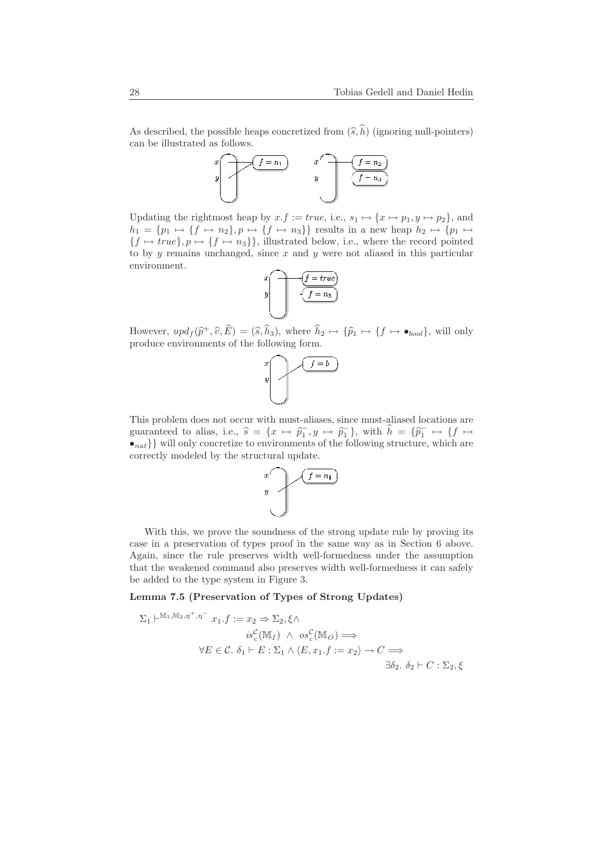As described, the possible heaps concretized from  $(\widehat{s}, \widehat{h})$  (ignoring null-pointers) can be illustrated as follows.



Updating the rightmost heap by  $x.f := true$ , i.e.,  $s_1 \mapsto \{x \mapsto p_1, y \mapsto p_2\}$ , and  $h_1 = \{p_1 \mapsto \{f \mapsto n_2\}, p \mapsto \{f \mapsto n_3\}\}\)$  results in a new heap  $h_2 \mapsto \{p_1 \mapsto p_2\}$  ${f \mapsto true}, p \mapsto {f \mapsto n_3},$  illustrated below, i.e., where the record pointed to by  $y$  remains unchanged, since  $x$  and  $y$  were not aliased in this particular environment.

$$
x \t\t \f = true
$$
  

$$
y \t\t \f = n_3
$$

However,  $upd_f(\hat{p}^+, \hat{v}, \hat{E}) = (\hat{s}, \hat{h}_3)$ , where  $\hat{h}_2 \mapsto {\hat{p}_1 \mapsto {f \mapsto \bullet_{bool}}}$ , will only produce environments of the following form.



This problem does not occur with must-aliases, since must-aliased locations are guaranteed to alias, i.e.,  $\hat{s} = \{x \mapsto \hat{p}_1, y \mapsto \hat{p}_1\}$ , with  $\hat{h} = \{\hat{p}_1 \mapsto \{f \mapsto \} \}$  $\bullet_{nat}\}$  will only concretize to environments of the following structure, which are correctly modeled by the structural update.



With this, we prove the soundness of the strong update rule by proving its case in a preservation of types proof in the same way as in Section 6 above. Again, since the rule preserves width well-formedness under the assumption that the weakened command also preserves width well-formedness it can safely be added to the type system in Figure 3.

Lemma 7.5 (Preservation of Types of Strong Updates)

M1,M2,η+,η<sup>−</sup>

$$
\Sigma_1 \vdash^{\mathbb{M}_1, \mathbb{M}_2, \eta^-, \eta^-} x_1 \cdot f := x_2 \Rightarrow \Sigma_2, \xi \land
$$
  
\n
$$
is_c^C(\mathbb{M}_I) \land os_c^C(\mathbb{M}_O) \Longrightarrow
$$
  
\n
$$
\forall E \in \mathcal{C}. \ \delta_1 \vdash E : \Sigma_1 \land \langle E, x_1 \cdot f := x_2 \rangle \to C \Longrightarrow
$$
  
\n
$$
\exists \delta_2. \ \delta_2 \vdash C : \Sigma_2, \xi
$$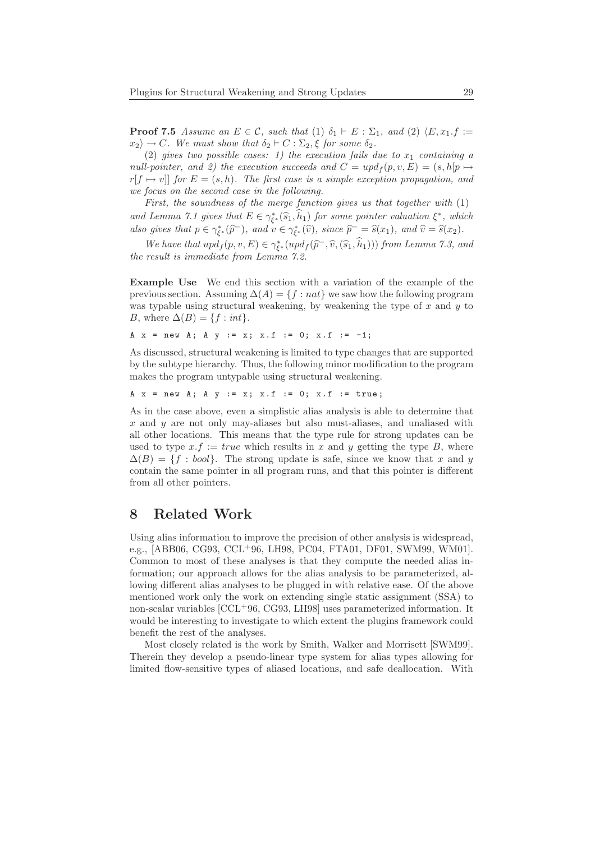**Proof 7.5** Assume an  $E \in \mathcal{C}$ , such that (1)  $\delta_1 \vdash E : \Sigma_1$ , and (2)  $\langle E, x_1 \ldots f \rangle :=$  $x_2 \rightarrow C$ . We must show that  $\delta_2 \vdash C : \Sigma_2$ ,  $\xi$  for some  $\delta_2$ .

(2) gives two possible cases: 1) the execution fails due to  $x_1$  containing a null-pointer, and 2) the execution succeeds and  $C = \nu pd_f(p, v, E) = (s, h[p \mapsto$  $r[f \mapsto v]]$  for  $E = (s, h)$ . The first case is a simple exception propagation, and we focus on the second case in the following.

First, the soundness of the merge function gives us that together with  $(1)$ and Lemma 7.1 gives that  $E \in \gamma_{\xi^*}^*(\widehat{s}_1, \widehat{h}_1)$  for some pointer valuation  $\xi^*$ , which also gives that  $p \in \gamma_{\xi^*}^*(\widehat{p}^-)$ , and  $v \in \gamma_{\xi^*}^*(\widehat{v})$ , since  $\widehat{p}^- = \widehat{s}(x_1)$ , and  $\widehat{v} = \widehat{s}(x_2)$ .

We have that  $\operatorname{upd}_f(p, v, E) \in \gamma_{\xi^*}^*(\operatorname{upd}_f(\widehat{p}^-, \widehat{v}, (\widehat{s}_1, \widehat{h}_1)))$  from Lemma 7.3, and the result is immediate from Lemma 7.2.

Example Use We end this section with a variation of the example of the previous section. Assuming  $\Delta(A) = \{f : nat\}$  we saw how the following program was typable using structural weakening, by weakening the type of  $x$  and  $y$  to B, where  $\Delta(B) = \{f : int\}.$ 

A  $x = new A$ ; A  $y := x$ ;  $x.f := 0$ ;  $x.f := -1$ ;

As discussed, structural weakening is limited to type changes that are supported by the subtype hierarchy. Thus, the following minor modification to the program makes the program untypable using structural weakening.

A  $x = new A$ ; A  $y := x$ ;  $x.f := 0$ ;  $x.f := true$ ;

As in the case above, even a simplistic alias analysis is able to determine that  $x$  and  $y$  are not only may-aliases but also must-aliases, and unaliased with all other locations. This means that the type rule for strong updates can be used to type  $x.f := true$  which results in x and y getting the type B, where  $\Delta(B) = \{f : \text{bool}\}\.$  The strong update is safe, since we know that x and y contain the same pointer in all program runs, and that this pointer is different from all other pointers.

### 8 Related Work

Using alias information to improve the precision of other analysis is widespread, e.g., [ABB06, CG93, CCL<sup>+</sup>96, LH98, PC04, FTA01, DF01, SWM99, WM01]. Common to most of these analyses is that they compute the needed alias information; our approach allows for the alias analysis to be parameterized, allowing different alias analyses to be plugged in with relative ease. Of the above mentioned work only the work on extending single static assignment (SSA) to non-scalar variables [CCL<sup>+</sup>96, CG93, LH98] uses parameterized information. It would be interesting to investigate to which extent the plugins framework could benefit the rest of the analyses.

Most closely related is the work by Smith, Walker and Morrisett [SWM99]. Therein they develop a pseudo-linear type system for alias types allowing for limited flow-sensitive types of aliased locations, and safe deallocation. With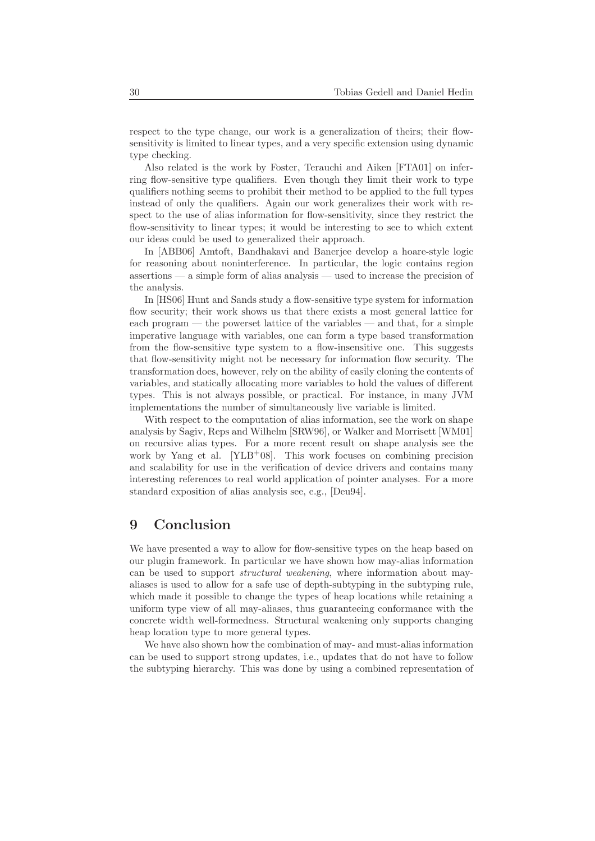respect to the type change, our work is a generalization of theirs; their flowsensitivity is limited to linear types, and a very specific extension using dynamic type checking.

Also related is the work by Foster, Terauchi and Aiken [FTA01] on inferring flow-sensitive type qualifiers. Even though they limit their work to type qualifiers nothing seems to prohibit their method to be applied to the full types instead of only the qualifiers. Again our work generalizes their work with respect to the use of alias information for flow-sensitivity, since they restrict the flow-sensitivity to linear types; it would be interesting to see to which extent our ideas could be used to generalized their approach.

In [ABB06] Amtoft, Bandhakavi and Banerjee develop a hoare-style logic for reasoning about noninterference. In particular, the logic contains region assertions — a simple form of alias analysis — used to increase the precision of the analysis.

In [HS06] Hunt and Sands study a flow-sensitive type system for information flow security; their work shows us that there exists a most general lattice for each program — the powerset lattice of the variables — and that, for a simple imperative language with variables, one can form a type based transformation from the flow-sensitive type system to a flow-insensitive one. This suggests that flow-sensitivity might not be necessary for information flow security. The transformation does, however, rely on the ability of easily cloning the contents of variables, and statically allocating more variables to hold the values of different types. This is not always possible, or practical. For instance, in many JVM implementations the number of simultaneously live variable is limited.

With respect to the computation of alias information, see the work on shape analysis by Sagiv, Reps and Wilhelm [SRW96], or Walker and Morrisett [WM01] on recursive alias types. For a more recent result on shape analysis see the work by Yang et al.  $[YLB^+08]$ . This work focuses on combining precision and scalability for use in the verification of device drivers and contains many interesting references to real world application of pointer analyses. For a more standard exposition of alias analysis see, e.g., [Deu94].

# 9 Conclusion

We have presented a way to allow for flow-sensitive types on the heap based on our plugin framework. In particular we have shown how may-alias information can be used to support structural weakening, where information about mayaliases is used to allow for a safe use of depth-subtyping in the subtyping rule, which made it possible to change the types of heap locations while retaining a uniform type view of all may-aliases, thus guaranteeing conformance with the concrete width well-formedness. Structural weakening only supports changing heap location type to more general types.

We have also shown how the combination of may- and must-alias information can be used to support strong updates, i.e., updates that do not have to follow the subtyping hierarchy. This was done by using a combined representation of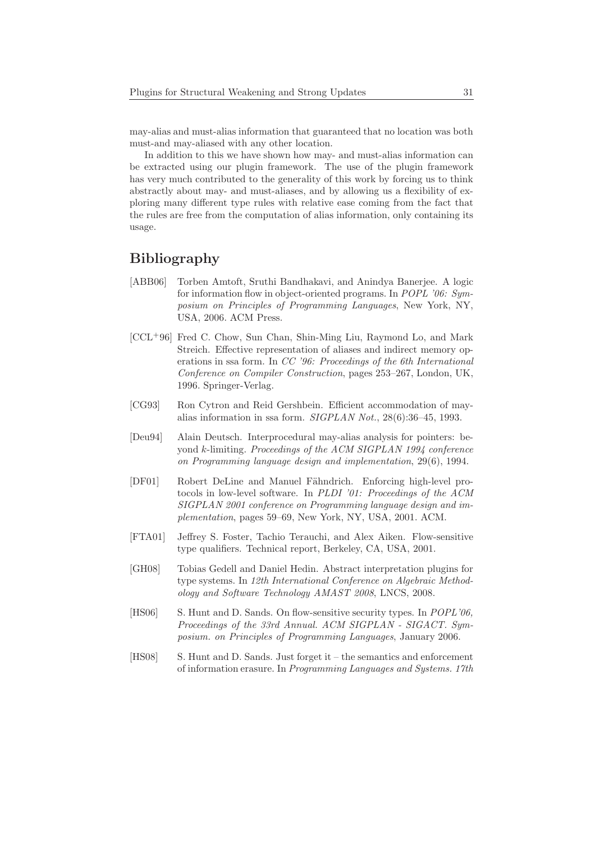may-alias and must-alias information that guaranteed that no location was both must-and may-aliased with any other location.

In addition to this we have shown how may- and must-alias information can be extracted using our plugin framework. The use of the plugin framework has very much contributed to the generality of this work by forcing us to think abstractly about may- and must-aliases, and by allowing us a flexibility of exploring many different type rules with relative ease coming from the fact that the rules are free from the computation of alias information, only containing its usage.

# Bibliography

- [ABB06] Torben Amtoft, Sruthi Bandhakavi, and Anindya Banerjee. A logic for information flow in object-oriented programs. In POPL '06: Symposium on Principles of Programming Languages, New York, NY, USA, 2006. ACM Press.
- [CCL<sup>+</sup>96] Fred C. Chow, Sun Chan, Shin-Ming Liu, Raymond Lo, and Mark Streich. Effective representation of aliases and indirect memory operations in ssa form. In CC '96: Proceedings of the 6th International Conference on Compiler Construction, pages 253–267, London, UK, 1996. Springer-Verlag.
- [CG93] Ron Cytron and Reid Gershbein. Efficient accommodation of mayalias information in ssa form. SIGPLAN Not., 28(6):36–45, 1993.
- [Deu94] Alain Deutsch. Interprocedural may-alias analysis for pointers: beyond k-limiting. Proceedings of the ACM SIGPLAN 1994 conference on Programming language design and implementation, 29(6), 1994.
- [DF01] Robert DeLine and Manuel Fähndrich. Enforcing high-level protocols in low-level software. In PLDI '01: Proceedings of the ACM SIGPLAN 2001 conference on Programming language design and implementation, pages 59–69, New York, NY, USA, 2001. ACM.
- [FTA01] Jeffrey S. Foster, Tachio Terauchi, and Alex Aiken. Flow-sensitive type qualifiers. Technical report, Berkeley, CA, USA, 2001.
- [GH08] Tobias Gedell and Daniel Hedin. Abstract interpretation plugins for type systems. In 12th International Conference on Algebraic Methodology and Software Technology AMAST 2008, LNCS, 2008.
- [HS06] S. Hunt and D. Sands. On flow-sensitive security types. In POPL'06, Proceedings of the 33rd Annual. ACM SIGPLAN - SIGACT. Symposium. on Principles of Programming Languages, January 2006.
- [HS08] S. Hunt and D. Sands. Just forget it the semantics and enforcement of information erasure. In Programming Languages and Systems. 17th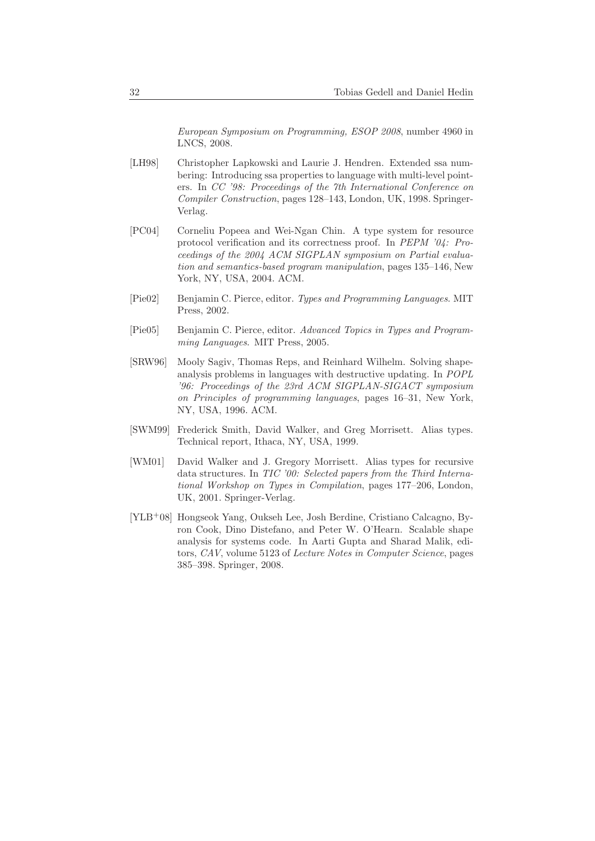European Symposium on Programming, ESOP 2008, number 4960 in LNCS, 2008.

- [LH98] Christopher Lapkowski and Laurie J. Hendren. Extended ssa numbering: Introducing ssa properties to language with multi-level pointers. In CC '98: Proceedings of the 7th International Conference on Compiler Construction, pages 128–143, London, UK, 1998. Springer-Verlag.
- [PC04] Corneliu Popeea and Wei-Ngan Chin. A type system for resource protocol verification and its correctness proof. In PEPM '04: Proceedings of the 2004 ACM SIGPLAN symposium on Partial evaluation and semantics-based program manipulation, pages 135–146, New York, NY, USA, 2004. ACM.
- [Pie02] Benjamin C. Pierce, editor. Types and Programming Languages. MIT Press, 2002.
- [Pie05] Benjamin C. Pierce, editor. Advanced Topics in Types and Programming Languages. MIT Press, 2005.
- [SRW96] Mooly Sagiv, Thomas Reps, and Reinhard Wilhelm. Solving shapeanalysis problems in languages with destructive updating. In POPL '96: Proceedings of the 23rd ACM SIGPLAN-SIGACT symposium on Principles of programming languages, pages 16–31, New York, NY, USA, 1996. ACM.
- [SWM99] Frederick Smith, David Walker, and Greg Morrisett. Alias types. Technical report, Ithaca, NY, USA, 1999.
- [WM01] David Walker and J. Gregory Morrisett. Alias types for recursive data structures. In TIC '00: Selected papers from the Third International Workshop on Types in Compilation, pages 177–206, London, UK, 2001. Springer-Verlag.
- [YLB<sup>+</sup>08] Hongseok Yang, Oukseh Lee, Josh Berdine, Cristiano Calcagno, Byron Cook, Dino Distefano, and Peter W. O'Hearn. Scalable shape analysis for systems code. In Aarti Gupta and Sharad Malik, editors, CAV, volume 5123 of Lecture Notes in Computer Science, pages 385–398. Springer, 2008.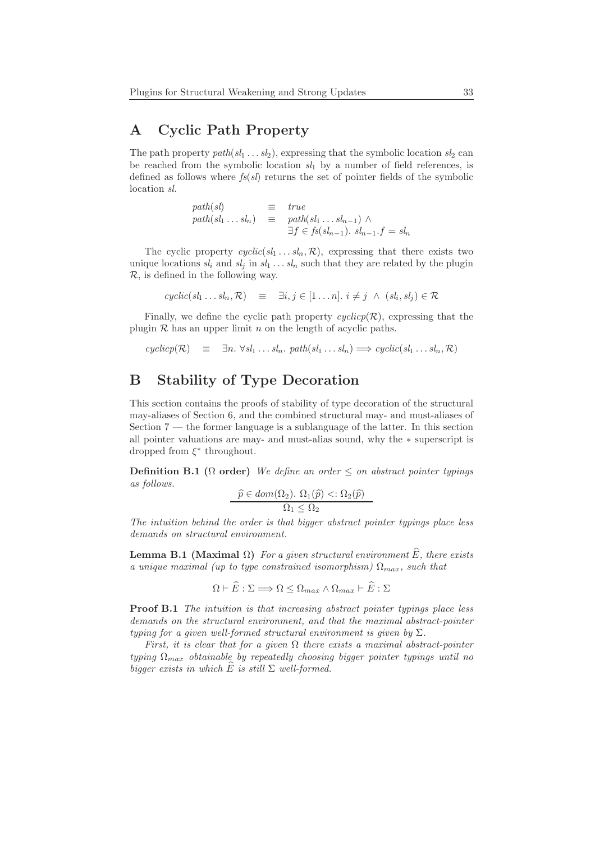# A Cyclic Path Property

The path property path  $(sl_1 \ldots sl_2)$ , expressing that the symbolic location  $sl_2$  can be reached from the symbolic location  $sl_1$  by a number of field references, is defined as follows where  $fs(sl)$  returns the set of pointer fields of the symbolic location sl.

> $path(sl) \equiv true$  $path(sl_1 \ldots sl_n) \equiv path(sl_1 \ldots sl_{n-1}) \wedge$  $\exists f \in fs(sl_{n-1}). \ s l_{n-1}.f = sl_n$

The cyclic property  $cyclic(sl_1 \ldots sl_n, \mathcal{R})$ , expressing that there exists two unique locations  $sl_i$  and  $sl_j$  in  $sl_1 \ldots sl_n$  such that they are related by the plugin R, is defined in the following way.

$$
cyclic(sl_1 \dots sl_n, \mathcal{R}) \equiv \exists i, j \in [1 \dots n]. \ i \neq j \ \land \ (sl_i, sl_j) \in \mathcal{R}
$$

Finally, we define the cyclic path property  $cyclicp(\mathcal{R})$ , expressing that the plugin  $R$  has an upper limit n on the length of acyclic paths.

 $cyclic(\mathcal{R}) \equiv \exists n. \forall sl_1 \dots sl_n. \ path(sl_1 \dots sl_n) \Longrightarrow cyclic(sl_1 \dots sl_n, \mathcal{R})$ 

# B Stability of Type Decoration

This section contains the proofs of stability of type decoration of the structural may-aliases of Section 6, and the combined structural may- and must-aliases of Section  $7$  — the former language is a sublanguage of the latter. In this section all pointer valuations are may- and must-alias sound, why the ∗ superscript is dropped from  $\xi^*$  throughout.

**Definition B.1** ( $\Omega$  order) We define an order  $\leq$  on abstract pointer typings as follows.

$$
\frac{\widehat{p} \in dom(\Omega_2). \ \Omega_1(\widehat{p}) <: \Omega_2(\widehat{p})}{\Omega_1 \leq \Omega_2}
$$

The intuition behind the order is that bigger abstract pointer typings place less demands on structural environment.

**Lemma B.1 (Maximal**  $\Omega$ **)** For a given structural environment  $\widehat{E}$ , there exists a unique maximal (up to type constrained isomorphism)  $\Omega_{max}$ , such that

$$
\Omega \vdash \tilde{E} : \Sigma \Longrightarrow \Omega \leq \Omega_{max} \wedge \Omega_{max} \vdash \tilde{E} : \Sigma
$$

Proof B.1 The intuition is that increasing abstract pointer typings place less demands on the structural environment, and that the maximal abstract-pointer typing for a given well-formed structural environment is given by  $\Sigma$ .

First, it is clear that for a given  $\Omega$  there exists a maximal abstract-pointer typing  $\Omega_{max}$  obtainable by repeatedly choosing bigger pointer typings until no bigger exists in which  $\widehat{E}$  is still  $\Sigma$  well-formed.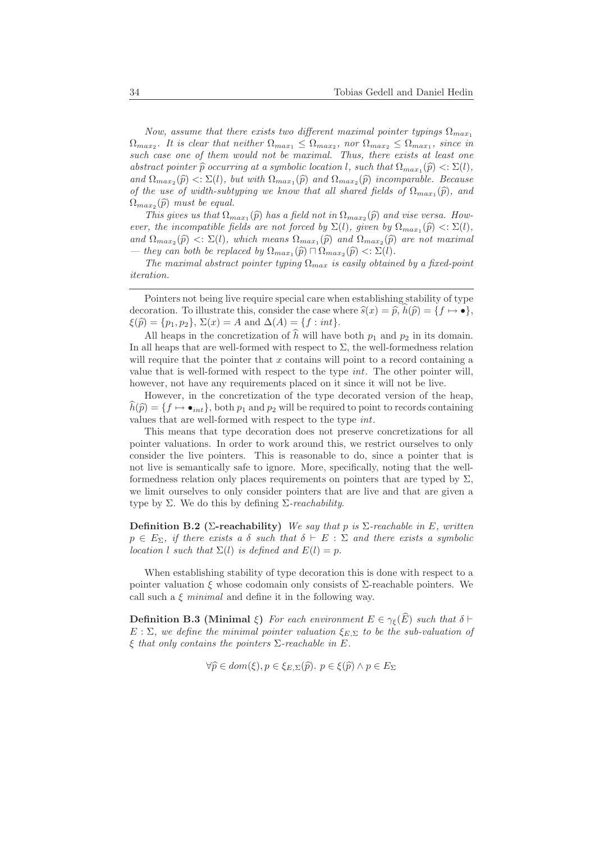Now, assume that there exists two different maximal pointer typings  $\Omega_{max_1}$  $\Omega_{max_2}$ . It is clear that neither  $\Omega_{max_1} \leq \Omega_{max_2}$ , nor  $\Omega_{max_2} \leq \Omega_{max_1}$ , since in such case one of them would not be maximal. Thus, there exists at least one abstract pointer  $\widehat{p}$  occurring at a symbolic location l, such that  $\Omega_{max_1}(\widehat{p}) < \Sigma(l)$ , and  $\Omega_{max_2}(\widehat{p}) \leq \Sigma(l)$ , but with  $\Omega_{max_1}(\widehat{p})$  and  $\Omega_{max_2}(\widehat{p})$  incomparable. Because of the use of width-subtyping we know that all shared fields of  $\Omega_{max_1}(\hat{p})$ , and  $\Omega_{max_2}(\widehat{p})$  must be equal.

This gives us that  $\Omega_{max_1}(\hat{p})$  has a field not in  $\Omega_{max_2}(\hat{p})$  and vise versa. However, the incompatible fields are not forced by  $\Sigma(l)$ , given by  $\Omega_{max_1}(\widehat{p}) < \Sigma(l)$ , and  $\Omega_{max_2}(\widehat{p}) \leq \Sigma(l)$ , which means  $\Omega_{max_1}(\widehat{p})$  and  $\Omega_{max_2}(\widehat{p})$  are not maximal — they can both be replaced by  $\Omega_{max_1}(\widehat{p}) \cap \Omega_{max_2}(\widehat{p}) \leq \Sigma(l)$ .

The maximal abstract pointer typing  $\Omega_{max}$  is easily obtained by a fixed-point iteration.

Pointers not being live require special care when establishing stability of type decoration. To illustrate this, consider the case where  $\widehat{s}(x) = \widehat{p}$ ,  $h(\widehat{p}) = \{f \mapsto \bullet\},\$  $\xi(\hat{p}) = \{p_1, p_2\}, \Sigma(x) = A \text{ and } \Delta(A) = \{f : int\}.$ 

All heaps in the concretization of  $\hat{h}$  will have both  $p_1$  and  $p_2$  in its domain. In all heaps that are well-formed with respect to  $\Sigma$ , the well-formedness relation will require that the pointer that  $x$  contains will point to a record containing a value that is well-formed with respect to the type int. The other pointer will, however, not have any requirements placed on it since it will not be live.

However, in the concretization of the type decorated version of the heap,  $h(\widehat{p}) = \{f \mapsto \bullet_{int}\},$  both  $p_1$  and  $p_2$  will be required to point to records containing values that are well-formed with respect to the type int.

This means that type decoration does not preserve concretizations for all pointer valuations. In order to work around this, we restrict ourselves to only consider the live pointers. This is reasonable to do, since a pointer that is not live is semantically safe to ignore. More, specifically, noting that the wellformedness relation only places requirements on pointers that are typed by  $\Sigma$ , we limit ourselves to only consider pointers that are live and that are given a type by  $\Sigma$ . We do this by defining  $\Sigma$ -reachability.

Definition B.2 (Σ-reachability) We say that p is  $\Sigma$ -reachable in E, written  $p \in E_{\Sigma}$ , if there exists a  $\delta$  such that  $\delta \vdash E : \Sigma$  and there exists a symbolic location l such that  $\Sigma(l)$  is defined and  $E(l) = p$ .

When establishing stability of type decoration this is done with respect to a pointer valuation  $\xi$  whose codomain only consists of  $\Sigma$ -reachable pointers. We call such a  $\xi$  minimal and define it in the following way.

**Definition B.3 (Minimal ξ)** For each environment  $E \in \gamma_{\xi}(\widehat{E})$  such that  $\delta \vdash$  $E : \Sigma$ , we define the minimal pointer valuation  $\xi_{E,\Sigma}$  to be the sub-valuation of  $\xi$  that only contains the pointers  $\Sigma$ -reachable in E.

$$
\forall \widehat{p} \in dom(\xi), p \in \xi_{E,\Sigma}(\widehat{p}), p \in \xi(\widehat{p}) \land p \in E_{\Sigma}
$$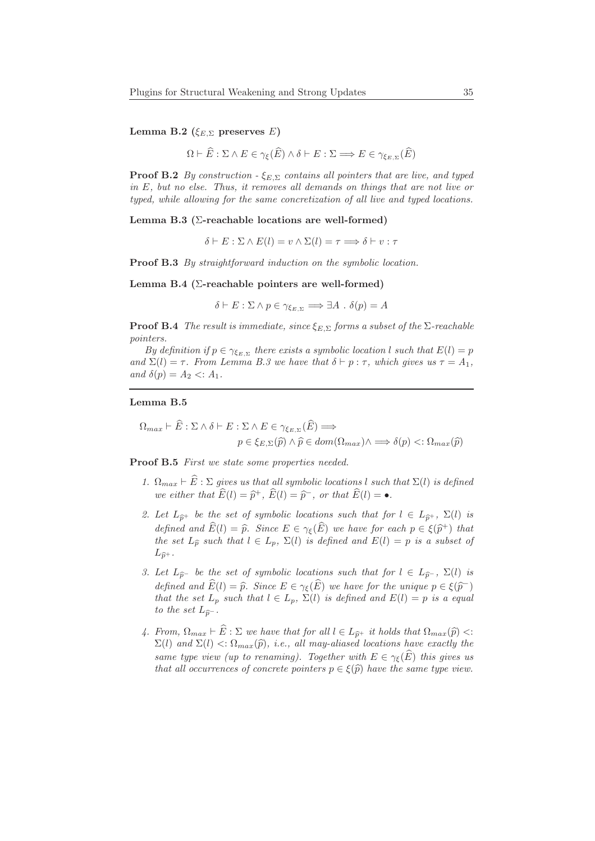Lemma B.2 ( $\xi_{E,\Sigma}$  preserves E)

$$
\Omega \vdash \widehat{E} : \Sigma \wedge E \in \gamma_{\xi}(\widehat{E}) \wedge \delta \vdash E : \Sigma \Longrightarrow E \in \gamma_{\xi_{E,\Sigma}}(\widehat{E})
$$

**Proof B.2** By construction  $-\xi_{E,\Sigma}$  contains all pointers that are live, and typed in E, but no else. Thus, it removes all demands on things that are not live or typed, while allowing for the same concretization of all live and typed locations.

Lemma B.3 ( $\Sigma$ -reachable locations are well-formed)

 $\delta \vdash E : \Sigma \wedge E(l) = v \wedge \Sigma(l) = \tau \Longrightarrow \delta \vdash v : \tau$ 

Proof B.3 By straightforward induction on the symbolic location.

Lemma B.4 ( $\Sigma$ -reachable pointers are well-formed)

 $\delta \vdash E : \Sigma \wedge p \in \gamma_{\varepsilon_{E,\Sigma}} \Longrightarrow \exists A \cdot \delta(p) = A$ 

**Proof B.4** The result is immediate, since  $\xi_{E,\Sigma}$  forms a subset of the  $\Sigma$ -reachable pointers.

By definition if  $p \in \gamma_{\xi_{E,\Sigma}}$  there exists a symbolic location l such that  $E(l) = p$ and  $\Sigma(l) = \tau$ . From Lemma B.3 we have that  $\delta \vdash p : \tau$ , which gives us  $\tau = A_1$ , and  $\delta(p) = A_2 < A_1$ .

#### Lemma B.5

$$
\Omega_{max} \vdash E : \Sigma \land \delta \vdash E : \Sigma \land E \in \gamma_{\xi_{E,\Sigma}}(E) \Longrightarrow
$$

$$
p \in \xi_{E,\Sigma}(\hat{p}) \land \hat{p} \in dom(\Omega_{max}) \land \Longrightarrow \delta(p) <: \Omega_{max}(\hat{p})
$$

Proof B.5 First we state some properties needed.

- 1.  $\Omega_{max} \vdash E : \Sigma$  gives us that all symbolic locations l such that  $\Sigma(l)$  is defined we either that  $\widehat{E}(l) = \widehat{p}^+, \widehat{E}(l) = \widehat{p}^-,$  or that  $\widehat{E}(l) = \bullet$ .
- 2. Let  $L_{\hat{p}^+}$  be the set of symbolic locations such that for  $l \in L_{\hat{p}^+}$ ,  $\Sigma(l)$  is defined and  $E(l) = \hat{p}$ . Since  $E \in \gamma_{\xi}(\hat{E})$  we have for each  $p \in \xi(\hat{p}^+)$  that the set  $L_{\widehat{\mathcal{D}}}$  such that  $l \in L_p$ ,  $\Sigma(l)$  is defined and  $E(l) = p$  is a subset of  $L_{\widehat{n}^+}$ .
- 3. Let  $L_{\widehat{p}}-$  be the set of symbolic locations such that for  $l \in L_{\widehat{p}}-$ ,  $\Sigma(l)$  is defined and  $E(l) = \widehat{p}$ . Since  $E \in \gamma_{\xi}(\widehat{E})$  we have for the unique  $p \in \xi(\widehat{p}^{-})$ that the set  $L_p$  such that  $l \in L_p$ ,  $\Sigma(l)$  is defined and  $E(l) = p$  is a equal to the set  $L_{\widehat{n}^-}$ .
- 4. From,  $\Omega_{max} \vdash \widehat{E} : \Sigma$  we have that for all  $l \in L_{\widehat{p}^+}$  it holds that  $\Omega_{max}(\widehat{p})$  <:  $\Sigma(l)$  and  $\Sigma(l) \langle \Omega_{max}(\hat{p}), i.e., all may-aliased locations have exactly the$ same type view (up to renaming). Together with  $E \in \gamma_{\xi}(\widehat{E})$  this gives us that all occurrences of concrete pointers  $p \in \xi(\widehat{p})$  have the same type view.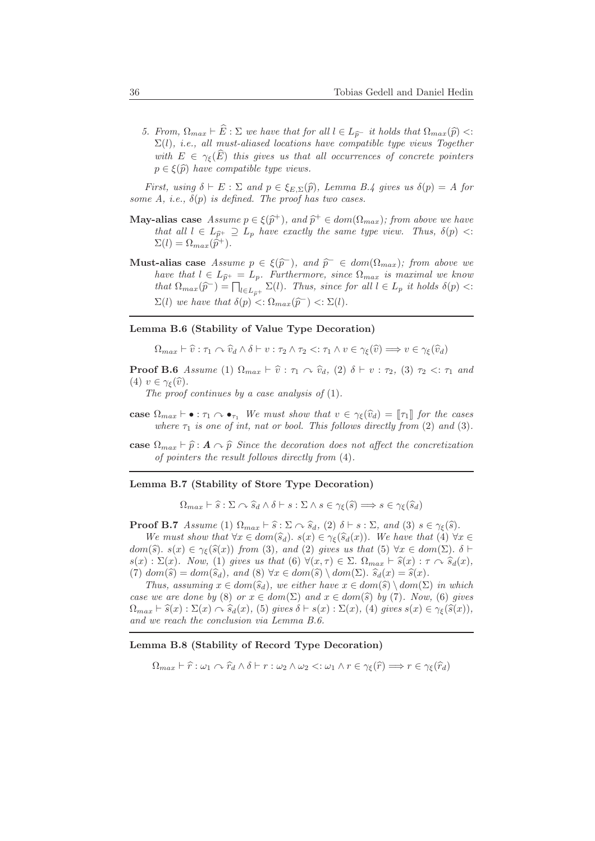5. From,  $\Omega_{max} \vdash \widehat{E} : \Sigma$  we have that for all  $l \in L_{\widehat{p}^-}$  it holds that  $\Omega_{max}(\widehat{p})$  <:  $\Sigma(l)$ , i.e., all must-aliased locations have compatible type views Together with  $E \in \gamma_{\varepsilon}(\widehat{E})$  this gives us that all occurrences of concrete pointers  $p \in \xi(\widehat{p})$  have compatible type views.

First, using  $\delta \vdash E : \Sigma$  and  $p \in \xi_{E,\Sigma}(\widehat{p})$ , Lemma B.4 gives us  $\delta(p) = A$  for some A, i.e.,  $\delta(p)$  is defined. The proof has two cases.

- **May-alias case** Assume  $p \in \xi(\hat{p}^+)$ , and  $\hat{p}^+ \in dom(\Omega_{max})$ ; from above we have that all  $l \in L_{\hat{p}^+} \supseteq L_p$  have exactly the same type view. Thus,  $\delta(p)$  <:  $\Sigma(l) = \Omega_{max}(\hat{p}^+)$ .
- Must-alias case Assume  $p \in \xi(\hat{p}^-)$ , and  $\hat{p}^- \in dom(\Omega_{max})$ ; from above we have that  $l \in L_{\hat{p}^+} = L_p$ . Furthermore, since  $\Omega_{max}$  is maximal we know that  $\Omega_{max}(\widehat{p}^-) = \prod_{l \in L_{\widehat{p}^+}} \Sigma(l)$ . Thus, since for all  $l \in L_p$  it holds  $\delta(p)$  <:  $\Sigma(l)$  we have that  $\delta(p) < \Omega_{max}(\widehat{p}^-) < \Sigma(l).$

### Lemma B.6 (Stability of Value Type Decoration)

 $\Omega_{max} \vdash \widehat{v} : \tau_1 \curvearrowright \widehat{v}_d \wedge \delta \vdash v : \tau_2 \wedge \tau_2 \ltminus : \tau_1 \wedge v \in \gamma_{\epsilon}(\widehat{v}) \Longrightarrow v \in \gamma_{\epsilon}(\widehat{v}_d)$ 

**Proof B.6** Assume (1)  $\Omega_{max} \vdash \hat{v} : \tau_1 \curvearrowright \hat{v}_d$ , (2)  $\delta \vdash v : \tau_2$ , (3)  $\tau_2 \ltimes \tau_1$  and (4)  $v \in \gamma_{\xi}(\widehat{v})$ .

The proof continues by a case analysis of  $(1)$ .

- case  $\Omega_{max} \vdash \bullet : \tau_1 \wedge \bullet_{\tau_1}$  We must show that  $v \in \gamma_{\xi}(\widehat{v}_d) = \llbracket \tau_1 \rrbracket$  for the cases where  $\tau_1$  is one of int, nat or bool. This follows directly from (2) and (3).
- case  $\Omega_{max} \vdash \hat{p} : A \curvearrowright \hat{p}$  Since the decoration does not affect the concretization of pointers the result follows directly from (4).

#### Lemma B.7 (Stability of Store Type Decoration)

 $\Omega_{max} \vdash \widehat{s} : \Sigma \curvearrowright \widehat{s}_d \wedge \delta \vdash s : \Sigma \wedge s \in \gamma_{\xi}(\widehat{s}) \Longrightarrow s \in \gamma_{\xi}(\widehat{s}_d)$ 

**Proof B.7** Assume (1)  $\Omega_{max} \vdash \hat{s} : \Sigma \curvearrowright \hat{s}_d$ , (2)  $\delta \vdash s : \Sigma$ , and (3)  $s \in \gamma_{\xi}(\hat{s})$ .

We must show that  $\forall x \in dom(\widehat{s}_d)$ .  $s(x) \in \gamma_{\xi}(\widehat{s}_d(x))$ . We have that  $(4)$   $\forall x \in$ dom(s).  $s(x) \in \gamma_{\xi}(\widehat{s}(x))$  from (3), and (2) gives us that (5)  $\forall x \in dom(\Sigma)$ .  $\delta \vdash$  $s(x): \Sigma(x)$ . Now, (1) gives us that (6)  $\forall (x, \tau) \in \Sigma$ .  $\Omega_{max} \vdash \hat{s}(x) : \tau \curvearrowright \hat{s}_d(x)$ , (7)  $dom(\widehat{s}) = dom(\widehat{s}_d)$ , and (8)  $\forall x \in dom(\widehat{s}) \setminus dom(\Sigma)$ .  $\widehat{s}_d(x) = \widehat{s}(x)$ .

Thus, assuming  $x \in dom(\widehat{s}_d)$ , we either have  $x \in dom(\widehat{s}) \setminus dom(\Sigma)$  in which case we are done by (8) or  $x \in dom(\Sigma)$  and  $x \in dom(\widehat{s})$  by (7). Now, (6) gives  $\Omega_{max} \vdash \hat{s}(x) : \Sigma(x) \curvearrowright \hat{s}_d(x),$  (5) gives  $\delta \vdash s(x) : \Sigma(x),$  (4) gives  $s(x) \in \gamma_{\xi}(\hat{s}(x)),$ and we reach the conclusion via Lemma B.6.

### Lemma B.8 (Stability of Record Type Decoration)

 $\Omega_{max} \vdash \hat{r} : \omega_1 \curvearrowright \hat{r}_d \wedge \delta \vdash r : \omega_2 \wedge \omega_2 <: \omega_1 \wedge r \in \gamma_{\epsilon}(\hat{r}) \Longrightarrow r \in \gamma_{\epsilon}(\hat{r}_d)$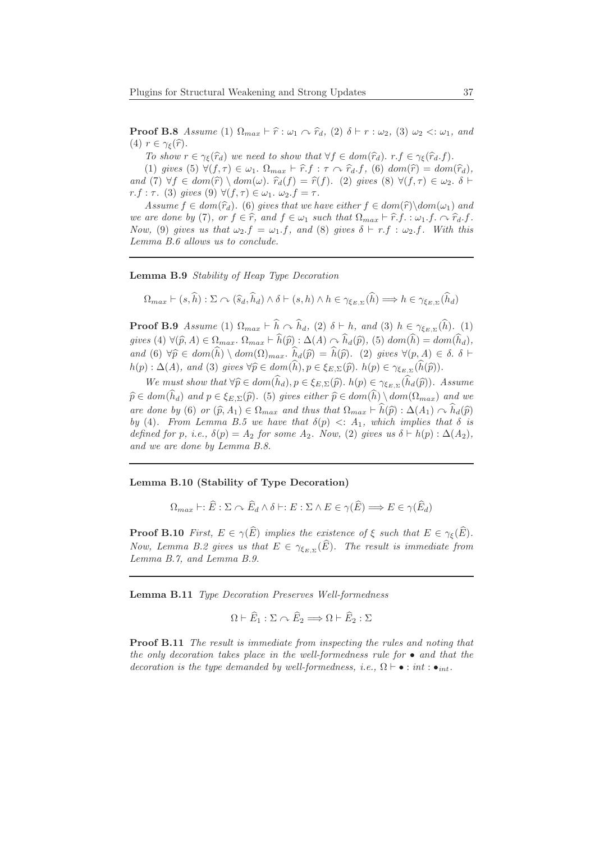**Proof B.8** Assume (1)  $\Omega_{max} \vdash \hat{r} : \omega_1 \curvearrowright \hat{r}_d$ , (2)  $\delta \vdash r : \omega_2$ , (3)  $\omega_2 < \omega_1$ , and (4)  $r \in \gamma_{\xi}(\widehat{r})$ .

To show  $r \in \gamma_{\xi}(\hat{r}_d)$  we need to show that  $\forall f \in dom(\hat{r}_d)$ .  $r.f \in \gamma_{\xi}(\hat{r}_d.f)$ .

(1) gives (5)  $\forall (f, \tau) \in \omega_1$ .  $\Omega_{max} \vdash \hat{r} \cdot f : \tau \sim \hat{r}_d \cdot f$ , (6)  $dom(\hat{r}) = dom(\hat{r}_d)$ , and (7)  $\forall f \in dom(\widehat{r}) \setminus dom(\omega)$ .  $\widehat{r}_d(f) = \widehat{r}(f)$ . (2) gives (8)  $\forall (f, \tau) \in \omega_2$ .  $\delta \vdash$ r.f : τ. (3) gives (9)  $\forall (f, \tau) \in \omega_1$ .  $\omega_2.f = \tau$ .

Assume  $f \in dom(\hat{r}_d)$ . (6) gives that we have either  $f \in dom(\hat{r})\setminus dom(\omega_1)$  and we are done by (7), or  $f \in \hat{r}$ , and  $f \in \omega_1$  such that  $\Omega_{max} \vdash \hat{r}.f. : \omega_1.f. \cap \hat{r}_d.f.$ Now, (9) gives us that  $\omega_2.f = \omega_1.f$ , and (8) gives  $\delta \vdash r.f : \omega_2.f$ . With this Lemma B.6 allows us to conclude.

Lemma B.9 Stability of Heap Type Decoration

$$
\Omega_{max} \vdash (s,\widehat{h}) : \Sigma \curvearrowright (\widehat{s}_d, \widehat{h}_d) \wedge \delta \vdash (s,h) \wedge h \in \gamma_{\xi_{E,\Sigma}}(\widehat{h}) \Longrightarrow h \in \gamma_{\xi_{E,\Sigma}}(\widehat{h}_d)
$$

**Proof B.9** Assume (1)  $\Omega_{max} \vdash \hat{h} \sim \hat{h}_d$ , (2)  $\delta \vdash h$ , and (3)  $h \in \gamma_{\xi_{E,\Sigma}}(\hat{h})$ . (1) gives (4)  $\forall (\widehat{p}, A) \in \Omega_{max}$ .  $\Omega_{max} \vdash \widehat{h}(\widehat{p}) : \Delta(A) \cap \widehat{h}_d(\widehat{p}),$  (5)  $dom(\widehat{h}) = dom(\widehat{h}_d)$ , and (6)  $\forall \widehat{p} \in dom(\widehat{h}) \setminus dom(\Omega)_{max}$ .  $\widehat{h}_d(\widehat{p}) = \widehat{h}(\widehat{p})$ . (2) gives  $\forall (p, A) \in \delta$ .  $\delta \vdash$  $h(p): \Delta(A)$ , and (3) gives  $\forall \widehat{p} \in dom(h), p \in \xi_{E,\Sigma}(\widehat{p})$ .  $h(p) \in \gamma_{\xi_{E,\Sigma}}(h(\widehat{p})).$ 

We must show that  $\forall \widehat{p} \in dom(h_d), p \in \xi_{E,\Sigma}(\widehat{p})$ .  $h(p) \in \gamma_{\xi_{E,\Sigma}}(h_d(\widehat{p}))$ . Assume  $\widehat{p} \in dom(h_d)$  and  $p \in \xi_{E,\Sigma}(\widehat{p})$ . (5) gives either  $\widehat{p} \in dom(h) \setminus dom(\Omega_{max})$  and we are done by (6) or  $(\widehat{p}, A_1) \in \Omega_{max}$  and thus that  $\Omega_{max} \vdash \widehat{h}(\widehat{p}) : \Delta(A_1) \cap \widehat{h}_d(\widehat{p})$ by (4). From Lemma B.5 we have that  $\delta(p) \leq A_1$ , which implies that  $\delta$  is defined for p, i.e.,  $\delta(p) = A_2$  for some  $A_2$ . Now, (2) gives us  $\delta \vdash h(p) : \Delta(A_2)$ , and we are done by Lemma B.8.

Lemma B.10 (Stability of Type Decoration)

$$
\Omega_{max} \vdash : \widehat{E} : \Sigma \curvearrowright \widehat{E}_d \wedge \delta \vdash : E : \Sigma \wedge E \in \gamma(\widehat{E}) \Longrightarrow E \in \gamma(\widehat{E}_d)
$$

**Proof B.10** First,  $E \in \gamma(\widehat{E})$  implies the existence of  $\xi$  such that  $E \in \gamma_{\xi}(\widehat{E})$ . Now, Lemma B.2 gives us that  $E \in \gamma_{\xi_{E,\Sigma}}(E)$ . The result is immediate from Lemma B.7, and Lemma B.9.

Lemma B.11 Type Decoration Preserves Well-formedness

$$
\Omega \vdash \widehat{E}_1 : \Sigma \curvearrowright \widehat{E}_2 \Longrightarrow \Omega \vdash \widehat{E}_2 : \Sigma
$$

Proof B.11 The result is immediate from inspecting the rules and noting that the only decoration takes place in the well-formedness rule for  $\bullet$  and that the decoration is the type demanded by well-formedness, i.e.,  $\Omega \vdash \bullet : int : \bullet_{int}$ .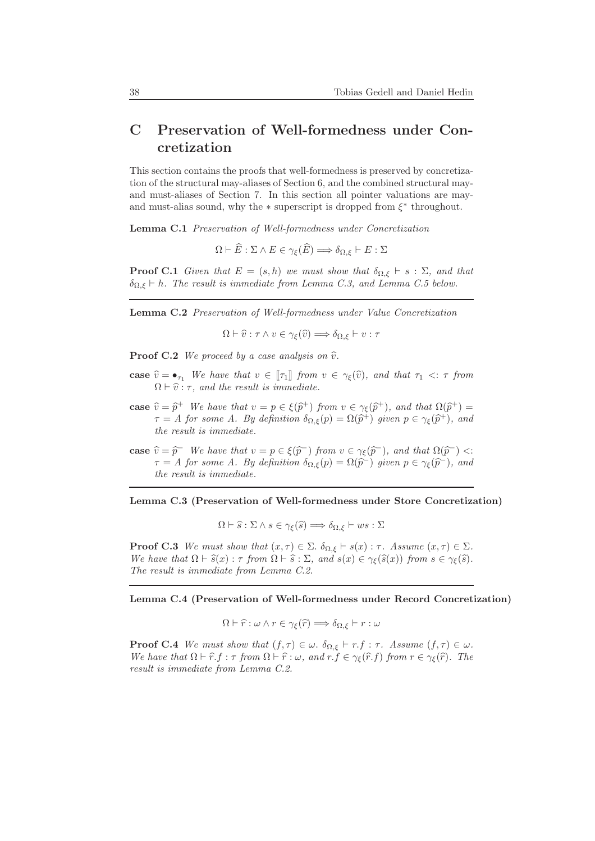# C Preservation of Well-formedness under Concretization

This section contains the proofs that well-formedness is preserved by concretization of the structural may-aliases of Section 6, and the combined structural mayand must-aliases of Section 7. In this section all pointer valuations are mayand must-alias sound, why the  $*$  superscript is dropped from  $\xi^*$  throughout.

Lemma C.1 Preservation of Well-formedness under Concretization

 $\Omega \vdash \widehat{E} : \Sigma \wedge E \in \gamma_{\varepsilon}(\widehat{E}) \Longrightarrow \delta_{\Omega, \varepsilon} \vdash E : \Sigma$ 

**Proof C.1** Given that  $E = (s, h)$  we must show that  $\delta_{\Omega, \xi} \vdash s : \Sigma$ , and that  $\delta_{\Omega,\xi} \vdash h$ . The result is immediate from Lemma C.3, and Lemma C.5 below.

Lemma C.2 Preservation of Well-formedness under Value Concretization

 $\Omega \vdash \widehat{v} : \tau \wedge v \in \gamma_{\varepsilon}(\widehat{v}) \Longrightarrow \delta_{\Omega,\varepsilon} \vdash v : \tau$ 

**Proof C.2** We proceed by a case analysis on  $\hat{v}$ .

- case  $\hat{v} = \bullet_{\tau_1}$  We have that  $v \in [\tau_1]$  from  $v \in \gamma_{\xi}(\hat{v})$ , and that  $\tau_1 \prec : \tau$  from  $\Omega \vdash \hat{v} : \tau$ , and the result is immediate.
- **case**  $\hat{v} = \hat{p}^+$  We have that  $v = p \in \xi(\hat{p}^+)$  from  $v \in \gamma_{\xi}(\hat{p}^+)$ , and that  $\Omega(\hat{p}^+) =$  $\tau = A$  for some A. By definition  $\delta_{\Omega,\xi}(p) = \Omega(\widehat{p}^+)$  given  $p \in \gamma_{\xi}(\widehat{p}^+)$ , and the result is immediate.
- case  $\widehat{v} = \widehat{p}$  We have that  $v = p \in \xi(\widehat{p}^-)$  from  $v \in \gamma_{\xi}(\widehat{p}^-)$ , and that  $\Omega(\widehat{p}^-) < \xi$  $\tau = A$  for some A. By definition  $\delta_{\Omega,\xi}(p) = \Omega(\widehat{p}^-)$  given  $p \in \gamma_{\xi}(\widehat{p}^-)$ , and the result is immediate.

Lemma C.3 (Preservation of Well-formedness under Store Concretization)

$$
\Omega \vdash \widehat{s} : \Sigma \wedge s \in \gamma_{\xi}(\widehat{s}) \Longrightarrow \delta_{\Omega, \xi} \vdash ws : \Sigma
$$

**Proof C.3** We must show that  $(x, \tau) \in \Sigma$ .  $\delta_{\Omega, \xi} \vdash s(x) : \tau$ . Assume  $(x, \tau) \in \Sigma$ . We have that  $\Omega \vdash \hat{s}(x) : \tau$  from  $\Omega \vdash \hat{s} : \Sigma$ , and  $s(x) \in \gamma_{\xi}(\hat{s}(x))$  from  $s \in \gamma_{\xi}(\hat{s})$ . The result is immediate from Lemma C.2.

Lemma C.4 (Preservation of Well-formedness under Record Concretization)

$$
\Omega \vdash \widehat{r} : \omega \wedge r \in \gamma_{\xi}(\widehat{r}) \Longrightarrow \delta_{\Omega, \xi} \vdash r : \omega
$$

**Proof C.4** We must show that  $(f, \tau) \in \omega$ .  $\delta_{\Omega, \xi} \vdash r.f : \tau$ . Assume  $(f, \tau) \in \omega$ . We have that  $\Omega \vdash \hat{r} \cdot f : \tau$  from  $\Omega \vdash \hat{r} : \omega$ , and  $r.f \in \gamma_{\xi}(\hat{r},f)$  from  $r \in \gamma_{\xi}(\hat{r})$ . The result is immediate from Lemma C.2.